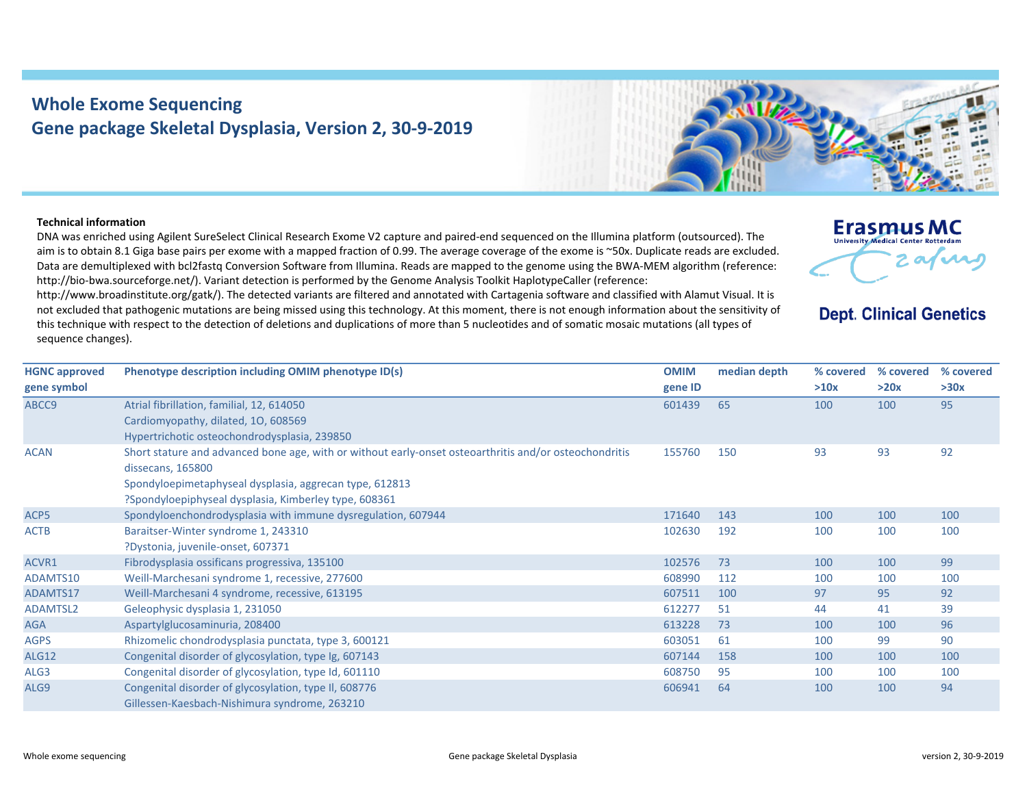## **Whole Exome Sequencing Gene package Skeletal Dysplasia, Version 2, 30‐9‐2019**



## **Technical information**

DNA was enriched using Agilent SureSelect Clinical Research Exome V2 capture and paired‐end sequenced on the Illumina platform (outsourced). The aim is to obtain 8.1 Giga base pairs per exome with a mapped fraction of 0.99. The average coverage of the exome is ~50x. Duplicate reads are excluded. Data are demultiplexed with bcl2fastg Conversion Software from Illumina. Reads are mapped to the genome using the BWA-MEM algorithm (reference: http://bio-bwa.sourceforge.net/). Variant detection is performed by the Genome Analysis Toolkit HaplotypeCaller (reference:

http://www.broadinstitute.org/gatk/). The detected variants are filtered and annotated with Cartagenia software and classified with Alamut Visual. It is not excluded that pathogenic mutations are being missed using this technology. At this moment, there is not enough information about the sensitivity of this technique with respect to the detection of deletions and duplications of more than 5 nucleotides and of somatic mosaic mutations (all types of sequence changes).

|  | <b>Erasmus MC</b><br><b>University Medical Center Rotterdam</b> |  |
|--|-----------------------------------------------------------------|--|
|  | .01                                                             |  |

## **Dept. Clinical Genetics**

| <b>HGNC approved</b> | Phenotype description including OMIM phenotype ID(s)                                                   | <b>OMIM</b> | median depth | % covered | % covered | % covered |
|----------------------|--------------------------------------------------------------------------------------------------------|-------------|--------------|-----------|-----------|-----------|
| gene symbol          |                                                                                                        | gene ID     |              | >10x      | >20x      | >30x      |
| ABCC9                | Atrial fibrillation, familial, 12, 614050                                                              | 601439      | 65           | 100       | 100       | 95        |
|                      | Cardiomyopathy, dilated, 10, 608569                                                                    |             |              |           |           |           |
|                      | Hypertrichotic osteochondrodysplasia, 239850                                                           |             |              |           |           |           |
| <b>ACAN</b>          | Short stature and advanced bone age, with or without early-onset osteoarthritis and/or osteochondritis | 155760      | 150          | 93        | 93        | 92        |
|                      | dissecans, 165800                                                                                      |             |              |           |           |           |
|                      | Spondyloepimetaphyseal dysplasia, aggrecan type, 612813                                                |             |              |           |           |           |
|                      | ?Spondyloepiphyseal dysplasia, Kimberley type, 608361                                                  |             |              |           |           |           |
| ACP5                 | Spondyloenchondrodysplasia with immune dysregulation, 607944                                           | 171640      | 143          | 100       | 100       | 100       |
| <b>ACTB</b>          | Baraitser-Winter syndrome 1, 243310                                                                    | 102630      | 192          | 100       | 100       | 100       |
|                      | ?Dystonia, juvenile-onset, 607371                                                                      |             |              |           |           |           |
| ACVR1                | Fibrodysplasia ossificans progressiva, 135100                                                          | 102576      | 73           | 100       | 100       | 99        |
| ADAMTS10             | Weill-Marchesani syndrome 1, recessive, 277600                                                         | 608990      | 112          | 100       | 100       | 100       |
| ADAMTS17             | Weill-Marchesani 4 syndrome, recessive, 613195                                                         | 607511      | 100          | 97        | 95        | 92        |
| ADAMTSL2             | Geleophysic dysplasia 1, 231050                                                                        | 612277      | 51           | 44        | 41        | 39        |
| <b>AGA</b>           | Aspartylglucosaminuria, 208400                                                                         | 613228      | 73           | 100       | 100       | 96        |
| <b>AGPS</b>          | Rhizomelic chondrodysplasia punctata, type 3, 600121                                                   | 603051      | 61           | 100       | 99        | 90        |
| <b>ALG12</b>         | Congenital disorder of glycosylation, type Ig, 607143                                                  | 607144      | 158          | 100       | 100       | 100       |
| ALG3                 | Congenital disorder of glycosylation, type Id, 601110                                                  | 608750      | 95           | 100       | 100       | 100       |
| ALG9                 | Congenital disorder of glycosylation, type II, 608776                                                  | 606941      | 64           | 100       | 100       | 94        |
|                      | Gillessen-Kaesbach-Nishimura syndrome, 263210                                                          |             |              |           |           |           |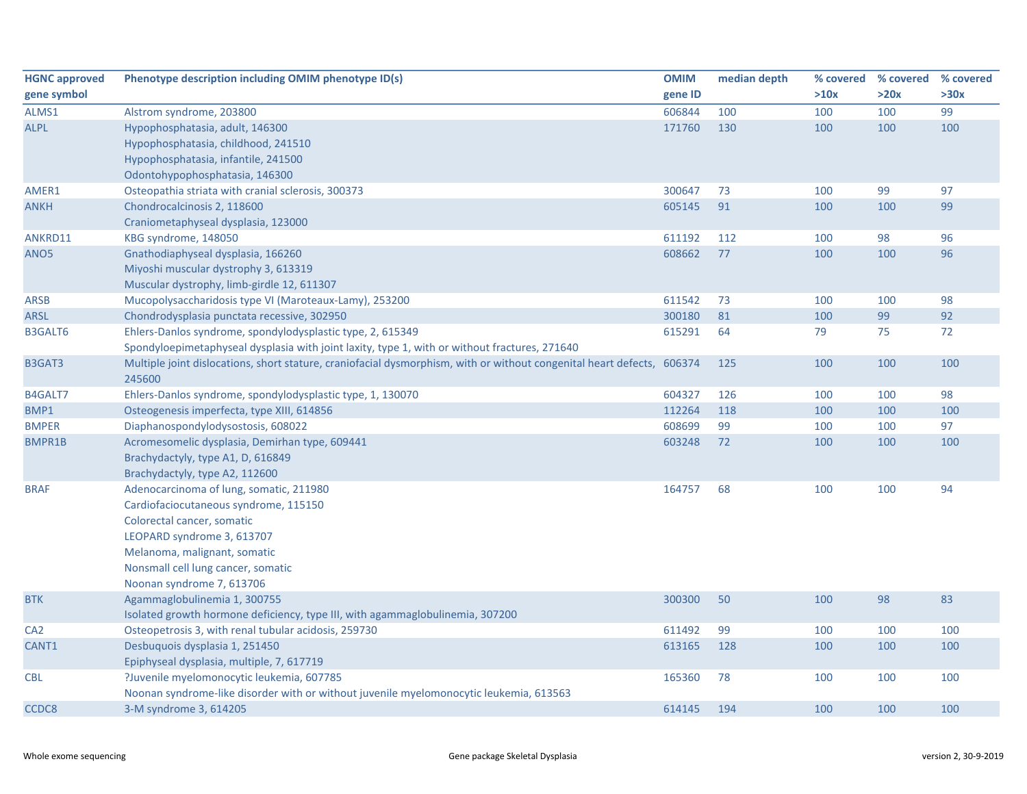| <b>HGNC approved</b> | Phenotype description including OMIM phenotype ID(s)                                                                   | <b>OMIM</b> | median depth | % covered % covered |      | % covered |
|----------------------|------------------------------------------------------------------------------------------------------------------------|-------------|--------------|---------------------|------|-----------|
| gene symbol          |                                                                                                                        | gene ID     |              | >10x                | >20x | >30x      |
| ALMS1                | Alstrom syndrome, 203800                                                                                               | 606844      | 100          | 100                 | 100  | 99        |
| <b>ALPL</b>          | Hypophosphatasia, adult, 146300                                                                                        | 171760      | 130          | 100                 | 100  | 100       |
|                      | Hypophosphatasia, childhood, 241510                                                                                    |             |              |                     |      |           |
|                      | Hypophosphatasia, infantile, 241500                                                                                    |             |              |                     |      |           |
|                      | Odontohypophosphatasia, 146300                                                                                         |             |              |                     |      |           |
| AMER1                | Osteopathia striata with cranial sclerosis, 300373                                                                     | 300647      | 73           | 100                 | 99   | 97        |
| ANKH                 | Chondrocalcinosis 2, 118600                                                                                            | 605145      | 91           | 100                 | 100  | 99        |
|                      | Craniometaphyseal dysplasia, 123000                                                                                    |             |              |                     |      |           |
| ANKRD11              | KBG syndrome, 148050                                                                                                   | 611192      | 112          | 100                 | 98   | 96        |
| ANO5                 | Gnathodiaphyseal dysplasia, 166260                                                                                     | 608662      | 77           | 100                 | 100  | 96        |
|                      | Miyoshi muscular dystrophy 3, 613319                                                                                   |             |              |                     |      |           |
|                      | Muscular dystrophy, limb-girdle 12, 611307                                                                             |             |              |                     |      |           |
| <b>ARSB</b>          | Mucopolysaccharidosis type VI (Maroteaux-Lamy), 253200                                                                 | 611542      | 73           | 100                 | 100  | 98        |
| <b>ARSL</b>          | Chondrodysplasia punctata recessive, 302950                                                                            | 300180      | 81           | 100                 | 99   | 92        |
| <b>B3GALT6</b>       | Ehlers-Danlos syndrome, spondylodysplastic type, 2, 615349                                                             | 615291      | 64           | 79                  | 75   | 72        |
|                      | Spondyloepimetaphyseal dysplasia with joint laxity, type 1, with or without fractures, 271640                          |             |              |                     |      |           |
| B3GAT3               | Multiple joint dislocations, short stature, craniofacial dysmorphism, with or without congenital heart defects, 606374 |             | 125          | 100                 | 100  | 100       |
|                      | 245600                                                                                                                 |             |              |                     |      |           |
| B4GALT7              | Ehlers-Danlos syndrome, spondylodysplastic type, 1, 130070                                                             | 604327      | 126          | 100                 | 100  | 98        |
| BMP1                 | Osteogenesis imperfecta, type XIII, 614856                                                                             | 112264      | 118          | 100                 | 100  | 100       |
| <b>BMPER</b>         | Diaphanospondylodysostosis, 608022                                                                                     | 608699      | 99           | 100                 | 100  | 97        |
| <b>BMPR1B</b>        | Acromesomelic dysplasia, Demirhan type, 609441                                                                         | 603248      | 72           | 100                 | 100  | 100       |
|                      | Brachydactyly, type A1, D, 616849                                                                                      |             |              |                     |      |           |
|                      | Brachydactyly, type A2, 112600                                                                                         |             |              |                     |      |           |
| <b>BRAF</b>          | Adenocarcinoma of lung, somatic, 211980                                                                                | 164757      | 68           | 100                 | 100  | 94        |
|                      | Cardiofaciocutaneous syndrome, 115150                                                                                  |             |              |                     |      |           |
|                      | Colorectal cancer, somatic                                                                                             |             |              |                     |      |           |
|                      | LEOPARD syndrome 3, 613707                                                                                             |             |              |                     |      |           |
|                      | Melanoma, malignant, somatic                                                                                           |             |              |                     |      |           |
|                      | Nonsmall cell lung cancer, somatic                                                                                     |             |              |                     |      |           |
|                      | Noonan syndrome 7, 613706                                                                                              |             |              |                     |      |           |
| <b>BTK</b>           | Agammaglobulinemia 1, 300755                                                                                           | 300300      | 50           | 100                 | 98   | 83        |
|                      | Isolated growth hormone deficiency, type III, with agammaglobulinemia, 307200                                          |             |              |                     |      |           |
| CA <sub>2</sub>      | Osteopetrosis 3, with renal tubular acidosis, 259730                                                                   | 611492      | 99           | 100                 | 100  | 100       |
| CANT1                | Desbuquois dysplasia 1, 251450                                                                                         | 613165      | 128          | 100                 | 100  | 100       |
|                      | Epiphyseal dysplasia, multiple, 7, 617719                                                                              |             |              |                     |      |           |
| CBL                  | ?Juvenile myelomonocytic leukemia, 607785                                                                              | 165360      | 78           | 100                 | 100  | 100       |
|                      | Noonan syndrome-like disorder with or without juvenile myelomonocytic leukemia, 613563                                 |             |              |                     |      |           |
| CCDC8                | 3-M syndrome 3, 614205                                                                                                 | 614145      | 194          | 100                 | 100  | 100       |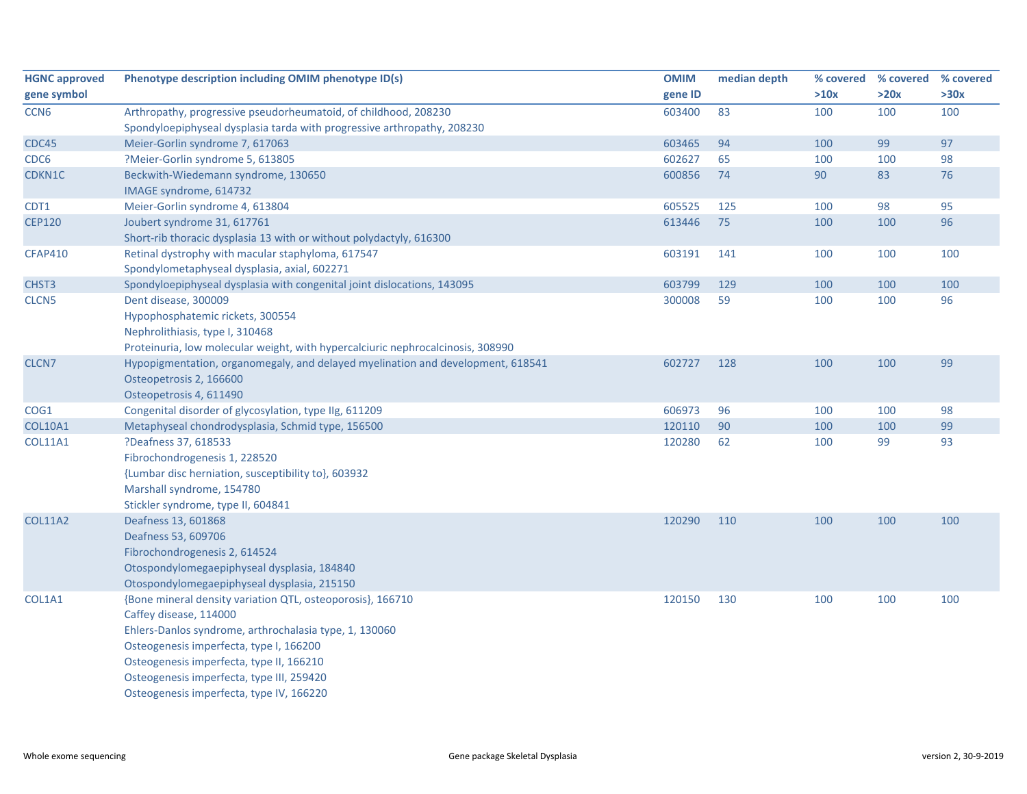| <b>HGNC approved</b> | Phenotype description including OMIM phenotype ID(s)                            | <b>OMIM</b> | median depth | % covered | % covered | % covered |
|----------------------|---------------------------------------------------------------------------------|-------------|--------------|-----------|-----------|-----------|
| gene symbol          |                                                                                 | gene ID     |              | >10x      | >20x      | >30x      |
| CCN <sub>6</sub>     | Arthropathy, progressive pseudorheumatoid, of childhood, 208230                 | 603400      | 83           | 100       | 100       | 100       |
|                      | Spondyloepiphyseal dysplasia tarda with progressive arthropathy, 208230         |             |              |           |           |           |
| CDC45                | Meier-Gorlin syndrome 7, 617063                                                 | 603465      | 94           | 100       | 99        | 97        |
| CDC6                 | ?Meier-Gorlin syndrome 5, 613805                                                | 602627      | 65           | 100       | 100       | 98        |
| CDKN1C               | Beckwith-Wiedemann syndrome, 130650                                             | 600856      | 74           | 90        | 83        | 76        |
|                      | IMAGE syndrome, 614732                                                          |             |              |           |           |           |
| CDT1                 | Meier-Gorlin syndrome 4, 613804                                                 | 605525      | 125          | 100       | 98        | 95        |
| <b>CEP120</b>        | Joubert syndrome 31, 617761                                                     | 613446      | 75           | 100       | 100       | 96        |
|                      | Short-rib thoracic dysplasia 13 with or without polydactyly, 616300             |             |              |           |           |           |
| <b>CFAP410</b>       | Retinal dystrophy with macular staphyloma, 617547                               | 603191      | 141          | 100       | 100       | 100       |
|                      | Spondylometaphyseal dysplasia, axial, 602271                                    |             |              |           |           |           |
| CHST3                | Spondyloepiphyseal dysplasia with congenital joint dislocations, 143095         | 603799      | 129          | 100       | 100       | 100       |
| CLCN <sub>5</sub>    | Dent disease, 300009                                                            | 300008      | 59           | 100       | 100       | 96        |
|                      | Hypophosphatemic rickets, 300554                                                |             |              |           |           |           |
|                      | Nephrolithiasis, type I, 310468                                                 |             |              |           |           |           |
|                      | Proteinuria, low molecular weight, with hypercalciuric nephrocalcinosis, 308990 |             |              |           |           |           |
| CLCN7                | Hypopigmentation, organomegaly, and delayed myelination and development, 618541 | 602727      | 128          | 100       | 100       | 99        |
|                      | Osteopetrosis 2, 166600                                                         |             |              |           |           |           |
|                      | Osteopetrosis 4, 611490                                                         |             |              |           |           |           |
| COG1                 | Congenital disorder of glycosylation, type IIg, 611209                          | 606973      | 96           | 100       | 100       | 98        |
| <b>COL10A1</b>       | Metaphyseal chondrodysplasia, Schmid type, 156500                               | 120110      | 90           | 100       | 100       | 99        |
| <b>COL11A1</b>       | ?Deafness 37, 618533                                                            | 120280      | 62           | 100       | 99        | 93        |
|                      | Fibrochondrogenesis 1, 228520                                                   |             |              |           |           |           |
|                      | {Lumbar disc herniation, susceptibility to}, 603932                             |             |              |           |           |           |
|                      | Marshall syndrome, 154780                                                       |             |              |           |           |           |
|                      | Stickler syndrome, type II, 604841                                              |             |              |           |           |           |
| <b>COL11A2</b>       | Deafness 13, 601868                                                             | 120290      | 110          | 100       | 100       | 100       |
|                      | Deafness 53, 609706                                                             |             |              |           |           |           |
|                      | Fibrochondrogenesis 2, 614524                                                   |             |              |           |           |           |
|                      | Otospondylomegaepiphyseal dysplasia, 184840                                     |             |              |           |           |           |
|                      | Otospondylomegaepiphyseal dysplasia, 215150                                     |             |              |           |           |           |
| COL1A1               | {Bone mineral density variation QTL, osteoporosis}, 166710                      | 120150      | 130          | 100       | 100       | 100       |
|                      | Caffey disease, 114000                                                          |             |              |           |           |           |
|                      | Ehlers-Danlos syndrome, arthrochalasia type, 1, 130060                          |             |              |           |           |           |
|                      | Osteogenesis imperfecta, type I, 166200                                         |             |              |           |           |           |
|                      | Osteogenesis imperfecta, type II, 166210                                        |             |              |           |           |           |
|                      | Osteogenesis imperfecta, type III, 259420                                       |             |              |           |           |           |
|                      | Osteogenesis imperfecta, type IV, 166220                                        |             |              |           |           |           |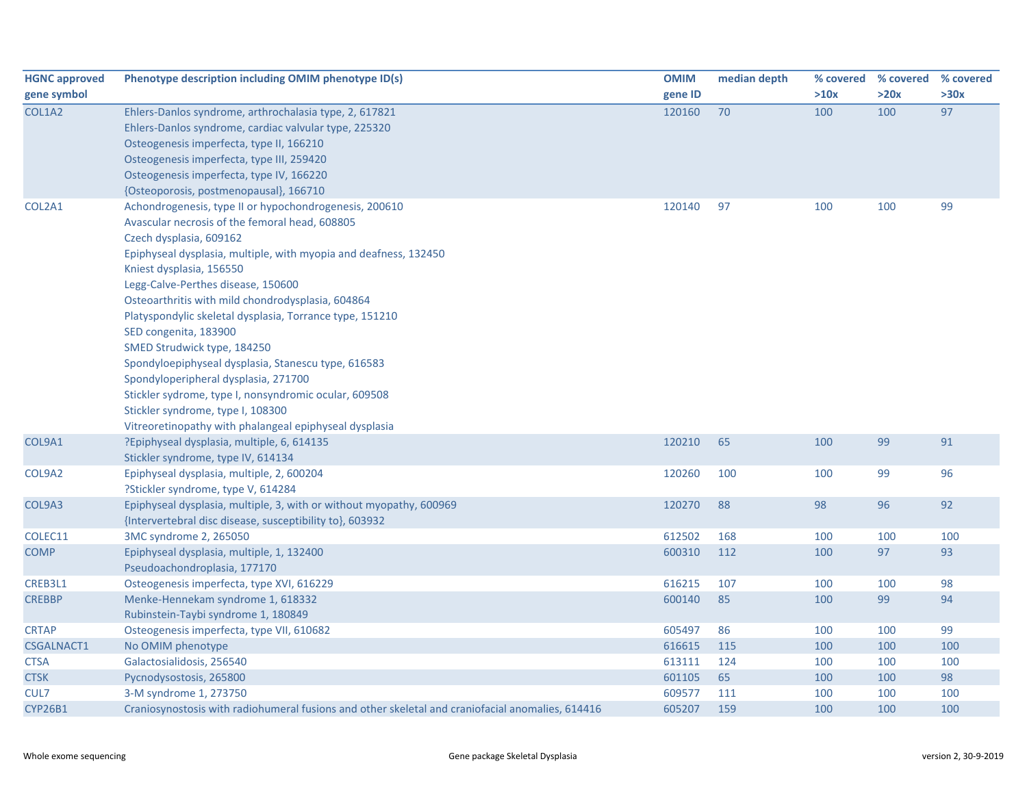| <b>HGNC approved</b> | Phenotype description including OMIM phenotype ID(s)                                                                                                                                                                                                                                                                                                                                                                                                                                                                                                                                                                                                                                                      | <b>OMIM</b> | median depth |      | % covered % covered | % covered |
|----------------------|-----------------------------------------------------------------------------------------------------------------------------------------------------------------------------------------------------------------------------------------------------------------------------------------------------------------------------------------------------------------------------------------------------------------------------------------------------------------------------------------------------------------------------------------------------------------------------------------------------------------------------------------------------------------------------------------------------------|-------------|--------------|------|---------------------|-----------|
| gene symbol          |                                                                                                                                                                                                                                                                                                                                                                                                                                                                                                                                                                                                                                                                                                           | gene ID     |              | >10x | >20x                | >30x      |
| COL1A2               | Ehlers-Danlos syndrome, arthrochalasia type, 2, 617821<br>Ehlers-Danlos syndrome, cardiac valvular type, 225320<br>Osteogenesis imperfecta, type II, 166210<br>Osteogenesis imperfecta, type III, 259420<br>Osteogenesis imperfecta, type IV, 166220<br>{Osteoporosis, postmenopausal}, 166710                                                                                                                                                                                                                                                                                                                                                                                                            | 120160      | 70           | 100  | 100                 | 97        |
| COL2A1               | Achondrogenesis, type II or hypochondrogenesis, 200610<br>Avascular necrosis of the femoral head, 608805<br>Czech dysplasia, 609162<br>Epiphyseal dysplasia, multiple, with myopia and deafness, 132450<br>Kniest dysplasia, 156550<br>Legg-Calve-Perthes disease, 150600<br>Osteoarthritis with mild chondrodysplasia, 604864<br>Platyspondylic skeletal dysplasia, Torrance type, 151210<br>SED congenita, 183900<br>SMED Strudwick type, 184250<br>Spondyloepiphyseal dysplasia, Stanescu type, 616583<br>Spondyloperipheral dysplasia, 271700<br>Stickler sydrome, type I, nonsyndromic ocular, 609508<br>Stickler syndrome, type I, 108300<br>Vitreoretinopathy with phalangeal epiphyseal dysplasia | 120140      | 97           | 100  | 100                 | 99        |
| COL9A1               | ?Epiphyseal dysplasia, multiple, 6, 614135<br>Stickler syndrome, type IV, 614134                                                                                                                                                                                                                                                                                                                                                                                                                                                                                                                                                                                                                          | 120210      | 65           | 100  | 99                  | 91        |
| COL9A2               | Epiphyseal dysplasia, multiple, 2, 600204<br>?Stickler syndrome, type V, 614284                                                                                                                                                                                                                                                                                                                                                                                                                                                                                                                                                                                                                           | 120260      | 100          | 100  | 99                  | 96        |
| COL9A3               | Epiphyseal dysplasia, multiple, 3, with or without myopathy, 600969<br>{Intervertebral disc disease, susceptibility to}, 603932                                                                                                                                                                                                                                                                                                                                                                                                                                                                                                                                                                           | 120270      | 88           | 98   | 96                  | 92        |
| COLEC11              | 3MC syndrome 2, 265050                                                                                                                                                                                                                                                                                                                                                                                                                                                                                                                                                                                                                                                                                    | 612502      | 168          | 100  | 100                 | 100       |
| <b>COMP</b>          | Epiphyseal dysplasia, multiple, 1, 132400<br>Pseudoachondroplasia, 177170                                                                                                                                                                                                                                                                                                                                                                                                                                                                                                                                                                                                                                 | 600310      | 112          | 100  | 97                  | 93        |
| CREB3L1              | Osteogenesis imperfecta, type XVI, 616229                                                                                                                                                                                                                                                                                                                                                                                                                                                                                                                                                                                                                                                                 | 616215      | 107          | 100  | 100                 | 98        |
| <b>CREBBP</b>        | Menke-Hennekam syndrome 1, 618332<br>Rubinstein-Taybi syndrome 1, 180849                                                                                                                                                                                                                                                                                                                                                                                                                                                                                                                                                                                                                                  | 600140      | 85           | 100  | 99                  | 94        |
| <b>CRTAP</b>         | Osteogenesis imperfecta, type VII, 610682                                                                                                                                                                                                                                                                                                                                                                                                                                                                                                                                                                                                                                                                 | 605497      | 86           | 100  | 100                 | 99        |
| <b>CSGALNACT1</b>    | No OMIM phenotype                                                                                                                                                                                                                                                                                                                                                                                                                                                                                                                                                                                                                                                                                         | 616615      | 115          | 100  | 100                 | 100       |
| <b>CTSA</b>          | Galactosialidosis, 256540                                                                                                                                                                                                                                                                                                                                                                                                                                                                                                                                                                                                                                                                                 | 613111      | 124          | 100  | 100                 | 100       |
| <b>CTSK</b>          | Pycnodysostosis, 265800                                                                                                                                                                                                                                                                                                                                                                                                                                                                                                                                                                                                                                                                                   | 601105      | 65           | 100  | 100                 | 98        |
| CUL7                 | 3-M syndrome 1, 273750                                                                                                                                                                                                                                                                                                                                                                                                                                                                                                                                                                                                                                                                                    | 609577      | 111          | 100  | 100                 | 100       |
| <b>CYP26B1</b>       | Craniosynostosis with radiohumeral fusions and other skeletal and craniofacial anomalies, 614416                                                                                                                                                                                                                                                                                                                                                                                                                                                                                                                                                                                                          | 605207      | 159          | 100  | 100                 | 100       |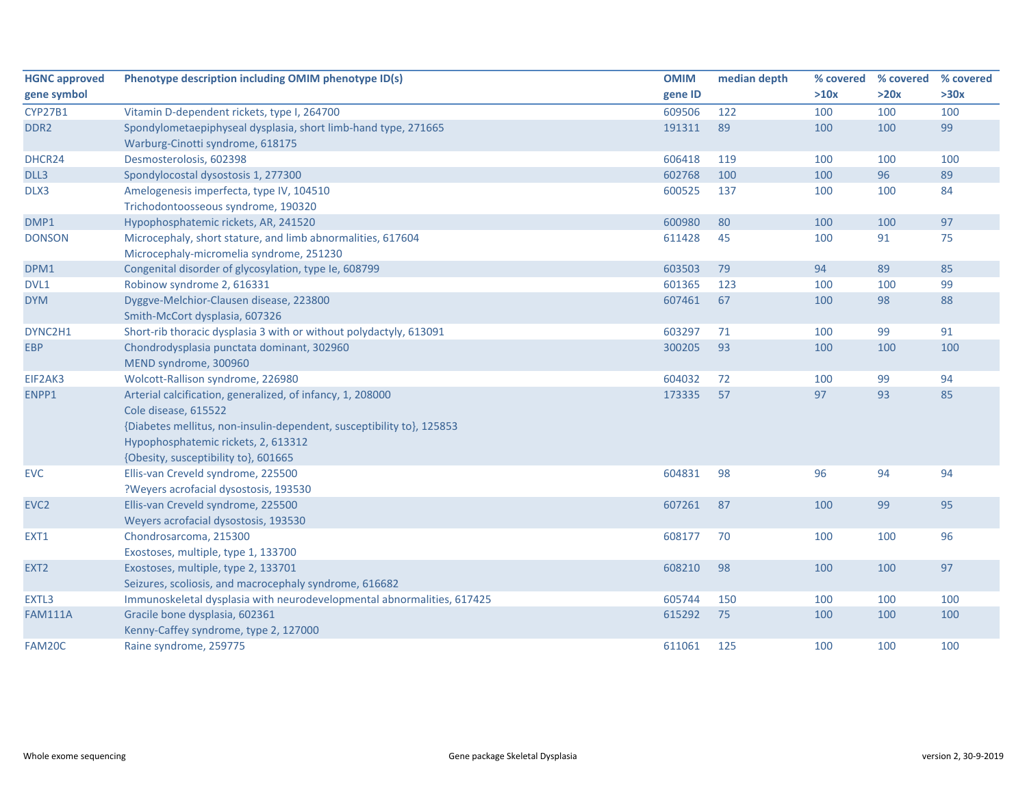| <b>HGNC approved</b> | Phenotype description including OMIM phenotype ID(s)                   | <b>OMIM</b> | median depth | % covered | % covered | % covered |
|----------------------|------------------------------------------------------------------------|-------------|--------------|-----------|-----------|-----------|
| gene symbol          |                                                                        | gene ID     |              | >10x      | >20x      | >30x      |
| <b>CYP27B1</b>       | Vitamin D-dependent rickets, type I, 264700                            | 609506      | 122          | 100       | 100       | 100       |
| DDR <sub>2</sub>     | Spondylometaepiphyseal dysplasia, short limb-hand type, 271665         | 191311      | 89           | 100       | 100       | 99        |
|                      | Warburg-Cinotti syndrome, 618175                                       |             |              |           |           |           |
| DHCR24               | Desmosterolosis, 602398                                                | 606418      | 119          | 100       | 100       | 100       |
| DLL3                 | Spondylocostal dysostosis 1, 277300                                    | 602768      | 100          | 100       | 96        | 89        |
| DLX3                 | Amelogenesis imperfecta, type IV, 104510                               | 600525      | 137          | 100       | 100       | 84        |
|                      | Trichodontoosseous syndrome, 190320                                    |             |              |           |           |           |
| DMP1                 | Hypophosphatemic rickets, AR, 241520                                   | 600980      | 80           | 100       | 100       | 97        |
| <b>DONSON</b>        | Microcephaly, short stature, and limb abnormalities, 617604            | 611428      | 45           | 100       | 91        | 75        |
|                      | Microcephaly-micromelia syndrome, 251230                               |             |              |           |           |           |
| DPM1                 | Congenital disorder of glycosylation, type Ie, 608799                  | 603503      | 79           | 94        | 89        | 85        |
| DVL1                 | Robinow syndrome 2, 616331                                             | 601365      | 123          | 100       | 100       | 99        |
| <b>DYM</b>           | Dyggve-Melchior-Clausen disease, 223800                                | 607461      | 67           | 100       | 98        | 88        |
|                      | Smith-McCort dysplasia, 607326                                         |             |              |           |           |           |
| DYNC2H1              | Short-rib thoracic dysplasia 3 with or without polydactyly, 613091     | 603297      | 71           | 100       | 99        | 91        |
| <b>EBP</b>           | Chondrodysplasia punctata dominant, 302960                             | 300205      | 93           | 100       | 100       | 100       |
|                      | MEND syndrome, 300960                                                  |             |              |           |           |           |
| EIF2AK3              | Wolcott-Rallison syndrome, 226980                                      | 604032      | 72           | 100       | 99        | 94        |
| ENPP1                | Arterial calcification, generalized, of infancy, 1, 208000             | 173335      | 57           | 97        | 93        | 85        |
|                      | Cole disease, 615522                                                   |             |              |           |           |           |
|                      | {Diabetes mellitus, non-insulin-dependent, susceptibility to}, 125853  |             |              |           |           |           |
|                      | Hypophosphatemic rickets, 2, 613312                                    |             |              |           |           |           |
|                      | {Obesity, susceptibility to}, 601665                                   |             |              |           |           |           |
| <b>EVC</b>           | Ellis-van Creveld syndrome, 225500                                     | 604831      | 98           | 96        | 94        | 94        |
|                      | ?Weyers acrofacial dysostosis, 193530                                  |             |              |           |           |           |
| EVC <sub>2</sub>     | Ellis-van Creveld syndrome, 225500                                     | 607261      | 87           | 100       | 99        | 95        |
|                      | Weyers acrofacial dysostosis, 193530                                   |             |              |           |           |           |
| EXT1                 | Chondrosarcoma, 215300                                                 | 608177      | 70           | 100       | 100       | 96        |
|                      | Exostoses, multiple, type 1, 133700                                    |             |              |           |           |           |
| EXT <sub>2</sub>     | Exostoses, multiple, type 2, 133701                                    | 608210      | 98           | 100       | 100       | 97        |
|                      | Seizures, scoliosis, and macrocephaly syndrome, 616682                 |             |              |           |           |           |
| EXTL3                | Immunoskeletal dysplasia with neurodevelopmental abnormalities, 617425 | 605744      | 150          | 100       | 100       | 100       |
| <b>FAM111A</b>       | Gracile bone dysplasia, 602361                                         | 615292      | 75           | 100       | 100       | 100       |
|                      | Kenny-Caffey syndrome, type 2, 127000                                  |             |              |           |           |           |
| FAM20C               | Raine syndrome, 259775                                                 | 611061      | 125          | 100       | 100       | 100       |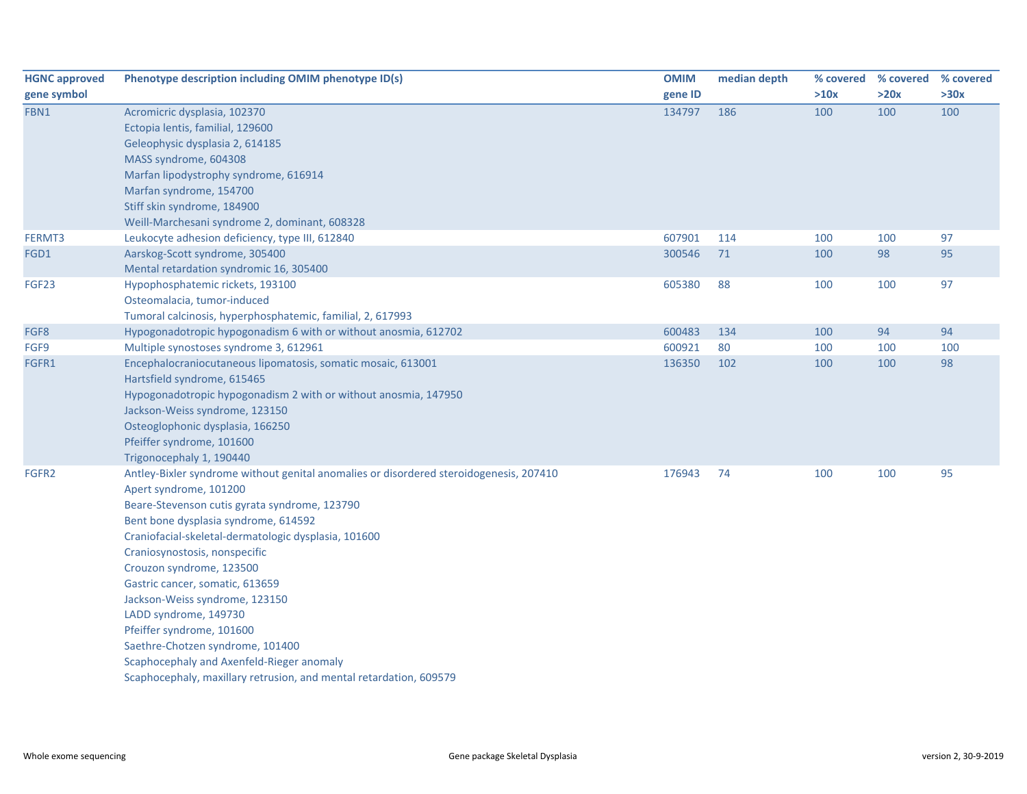| <b>HGNC approved</b> | Phenotype description including OMIM phenotype ID(s)                                   | <b>OMIM</b> | median depth | % covered | % covered | % covered |
|----------------------|----------------------------------------------------------------------------------------|-------------|--------------|-----------|-----------|-----------|
| gene symbol          |                                                                                        | gene ID     |              | >10x      | >20x      | >30x      |
| FBN1                 | Acromicric dysplasia, 102370                                                           | 134797      | 186          | 100       | 100       | 100       |
|                      | Ectopia lentis, familial, 129600                                                       |             |              |           |           |           |
|                      | Geleophysic dysplasia 2, 614185                                                        |             |              |           |           |           |
|                      | MASS syndrome, 604308                                                                  |             |              |           |           |           |
|                      | Marfan lipodystrophy syndrome, 616914                                                  |             |              |           |           |           |
|                      | Marfan syndrome, 154700                                                                |             |              |           |           |           |
|                      | Stiff skin syndrome, 184900                                                            |             |              |           |           |           |
|                      | Weill-Marchesani syndrome 2, dominant, 608328                                          |             |              |           |           |           |
| FERMT3               | Leukocyte adhesion deficiency, type III, 612840                                        | 607901      | 114          | 100       | 100       | 97        |
| FGD1                 | Aarskog-Scott syndrome, 305400                                                         | 300546      | 71           | 100       | 98        | 95        |
|                      | Mental retardation syndromic 16, 305400                                                |             |              |           |           |           |
| FGF23                | Hypophosphatemic rickets, 193100                                                       | 605380      | 88           | 100       | 100       | 97        |
|                      | Osteomalacia, tumor-induced                                                            |             |              |           |           |           |
|                      | Tumoral calcinosis, hyperphosphatemic, familial, 2, 617993                             |             |              |           |           |           |
| FGF8                 | Hypogonadotropic hypogonadism 6 with or without anosmia, 612702                        | 600483      | 134          | 100       | 94        | 94        |
| FGF9                 | Multiple synostoses syndrome 3, 612961                                                 | 600921      | 80           | 100       | 100       | 100       |
| FGFR1                | Encephalocraniocutaneous lipomatosis, somatic mosaic, 613001                           | 136350      | 102          | 100       | 100       | 98        |
|                      | Hartsfield syndrome, 615465                                                            |             |              |           |           |           |
|                      | Hypogonadotropic hypogonadism 2 with or without anosmia, 147950                        |             |              |           |           |           |
|                      | Jackson-Weiss syndrome, 123150                                                         |             |              |           |           |           |
|                      | Osteoglophonic dysplasia, 166250                                                       |             |              |           |           |           |
|                      | Pfeiffer syndrome, 101600                                                              |             |              |           |           |           |
|                      | Trigonocephaly 1, 190440                                                               |             |              |           |           |           |
| FGFR2                | Antley-Bixler syndrome without genital anomalies or disordered steroidogenesis, 207410 | 176943      | 74           | 100       | 100       | 95        |
|                      | Apert syndrome, 101200                                                                 |             |              |           |           |           |
|                      | Beare-Stevenson cutis gyrata syndrome, 123790                                          |             |              |           |           |           |
|                      | Bent bone dysplasia syndrome, 614592                                                   |             |              |           |           |           |
|                      | Craniofacial-skeletal-dermatologic dysplasia, 101600                                   |             |              |           |           |           |
|                      | Craniosynostosis, nonspecific                                                          |             |              |           |           |           |
|                      | Crouzon syndrome, 123500                                                               |             |              |           |           |           |
|                      | Gastric cancer, somatic, 613659                                                        |             |              |           |           |           |
|                      | Jackson-Weiss syndrome, 123150                                                         |             |              |           |           |           |
|                      | LADD syndrome, 149730                                                                  |             |              |           |           |           |
|                      | Pfeiffer syndrome, 101600                                                              |             |              |           |           |           |
|                      | Saethre-Chotzen syndrome, 101400                                                       |             |              |           |           |           |
|                      | Scaphocephaly and Axenfeld-Rieger anomaly                                              |             |              |           |           |           |
|                      | Scaphocephaly, maxillary retrusion, and mental retardation, 609579                     |             |              |           |           |           |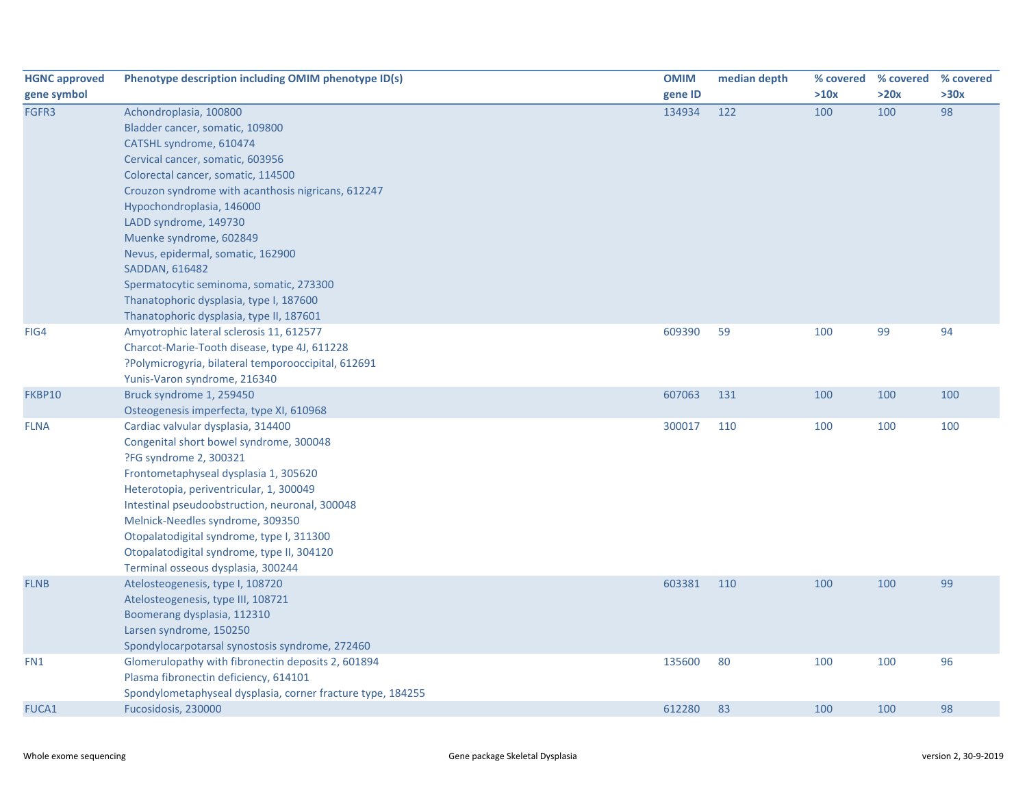| <b>HGNC approved</b> | Phenotype description including OMIM phenotype ID(s)        | <b>OMIM</b> | median depth | % covered |      | % covered % covered |
|----------------------|-------------------------------------------------------------|-------------|--------------|-----------|------|---------------------|
| gene symbol          |                                                             | gene ID     |              | >10x      | >20x | >30x                |
| FGFR3                | Achondroplasia, 100800                                      | 134934      | 122          | 100       | 100  | 98                  |
|                      | Bladder cancer, somatic, 109800                             |             |              |           |      |                     |
|                      | CATSHL syndrome, 610474                                     |             |              |           |      |                     |
|                      | Cervical cancer, somatic, 603956                            |             |              |           |      |                     |
|                      | Colorectal cancer, somatic, 114500                          |             |              |           |      |                     |
|                      | Crouzon syndrome with acanthosis nigricans, 612247          |             |              |           |      |                     |
|                      | Hypochondroplasia, 146000                                   |             |              |           |      |                     |
|                      | LADD syndrome, 149730                                       |             |              |           |      |                     |
|                      | Muenke syndrome, 602849                                     |             |              |           |      |                     |
|                      | Nevus, epidermal, somatic, 162900                           |             |              |           |      |                     |
|                      | SADDAN, 616482                                              |             |              |           |      |                     |
|                      | Spermatocytic seminoma, somatic, 273300                     |             |              |           |      |                     |
|                      | Thanatophoric dysplasia, type I, 187600                     |             |              |           |      |                     |
|                      | Thanatophoric dysplasia, type II, 187601                    |             |              |           |      |                     |
| FIG4                 | Amyotrophic lateral sclerosis 11, 612577                    | 609390      | 59           | 100       | 99   | 94                  |
|                      | Charcot-Marie-Tooth disease, type 4J, 611228                |             |              |           |      |                     |
|                      | ?Polymicrogyria, bilateral temporooccipital, 612691         |             |              |           |      |                     |
|                      | Yunis-Varon syndrome, 216340                                |             |              |           |      |                     |
| FKBP10               | Bruck syndrome 1, 259450                                    | 607063      | 131          | 100       | 100  | 100                 |
|                      | Osteogenesis imperfecta, type XI, 610968                    |             |              |           |      |                     |
| <b>FLNA</b>          | Cardiac valvular dysplasia, 314400                          | 300017      | 110          | 100       | 100  | 100                 |
|                      | Congenital short bowel syndrome, 300048                     |             |              |           |      |                     |
|                      | ?FG syndrome 2, 300321                                      |             |              |           |      |                     |
|                      | Frontometaphyseal dysplasia 1, 305620                       |             |              |           |      |                     |
|                      | Heterotopia, periventricular, 1, 300049                     |             |              |           |      |                     |
|                      | Intestinal pseudoobstruction, neuronal, 300048              |             |              |           |      |                     |
|                      | Melnick-Needles syndrome, 309350                            |             |              |           |      |                     |
|                      | Otopalatodigital syndrome, type I, 311300                   |             |              |           |      |                     |
|                      | Otopalatodigital syndrome, type II, 304120                  |             |              |           |      |                     |
|                      | Terminal osseous dysplasia, 300244                          |             |              |           |      |                     |
| <b>FLNB</b>          | Atelosteogenesis, type I, 108720                            | 603381      | 110          | 100       | 100  | 99                  |
|                      | Atelosteogenesis, type III, 108721                          |             |              |           |      |                     |
|                      | Boomerang dysplasia, 112310                                 |             |              |           |      |                     |
|                      | Larsen syndrome, 150250                                     |             |              |           |      |                     |
|                      | Spondylocarpotarsal synostosis syndrome, 272460             |             |              |           |      |                     |
| FN1                  | Glomerulopathy with fibronectin deposits 2, 601894          | 135600      | 80           | 100       | 100  | 96                  |
|                      | Plasma fibronectin deficiency, 614101                       |             |              |           |      |                     |
|                      | Spondylometaphyseal dysplasia, corner fracture type, 184255 |             |              |           |      |                     |
| <b>FUCA1</b>         | Fucosidosis, 230000                                         | 612280      | 83           | 100       | 100  | 98                  |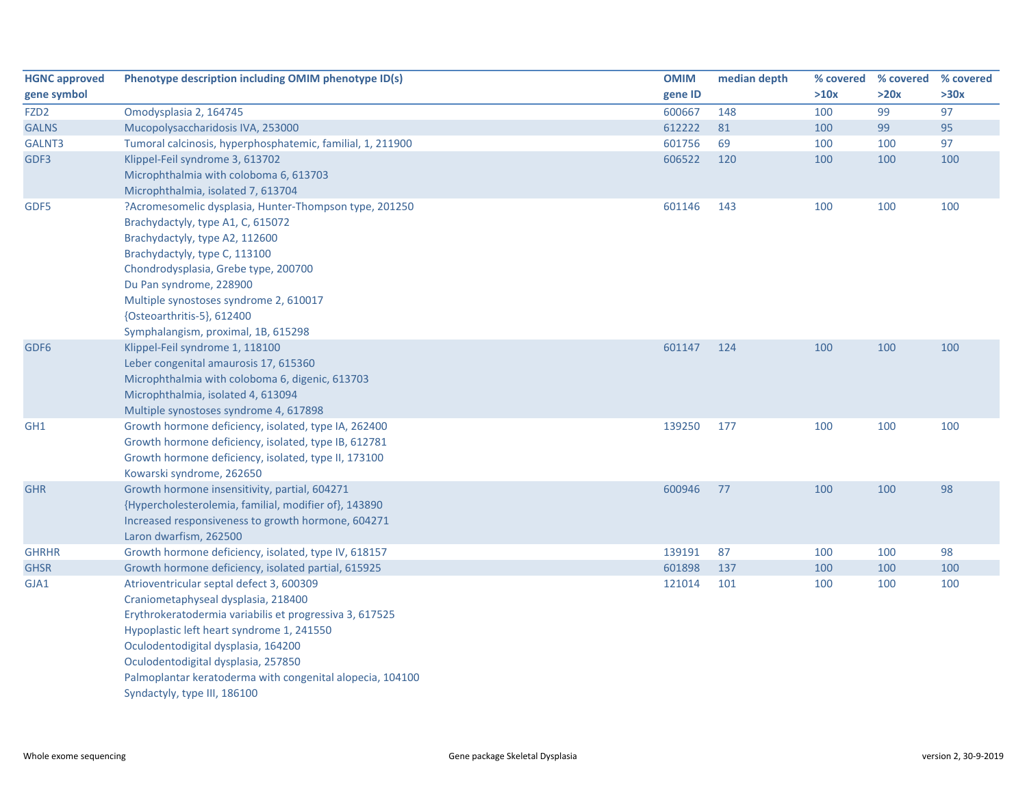| <b>HGNC approved</b> | Phenotype description including OMIM phenotype ID(s)       | <b>OMIM</b> | median depth | % covered | % covered | % covered |
|----------------------|------------------------------------------------------------|-------------|--------------|-----------|-----------|-----------|
| gene symbol          |                                                            | gene ID     |              | >10x      | >20x      | >30x      |
| FZD <sub>2</sub>     | Omodysplasia 2, 164745                                     | 600667      | 148          | 100       | 99        | 97        |
| <b>GALNS</b>         | Mucopolysaccharidosis IVA, 253000                          | 612222      | 81           | 100       | 99        | 95        |
| GALNT3               | Tumoral calcinosis, hyperphosphatemic, familial, 1, 211900 | 601756      | 69           | 100       | 100       | 97        |
| GDF3                 | Klippel-Feil syndrome 3, 613702                            | 606522      | 120          | 100       | 100       | 100       |
|                      | Microphthalmia with coloboma 6, 613703                     |             |              |           |           |           |
|                      | Microphthalmia, isolated 7, 613704                         |             |              |           |           |           |
| GDF5                 | ?Acromesomelic dysplasia, Hunter-Thompson type, 201250     | 601146      | 143          | 100       | 100       | 100       |
|                      | Brachydactyly, type A1, C, 615072                          |             |              |           |           |           |
|                      | Brachydactyly, type A2, 112600                             |             |              |           |           |           |
|                      | Brachydactyly, type C, 113100                              |             |              |           |           |           |
|                      | Chondrodysplasia, Grebe type, 200700                       |             |              |           |           |           |
|                      | Du Pan syndrome, 228900                                    |             |              |           |           |           |
|                      | Multiple synostoses syndrome 2, 610017                     |             |              |           |           |           |
|                      | {Osteoarthritis-5}, 612400                                 |             |              |           |           |           |
|                      | Symphalangism, proximal, 1B, 615298                        |             |              |           |           |           |
| GDF <sub>6</sub>     | Klippel-Feil syndrome 1, 118100                            | 601147      | 124          | 100       | 100       | 100       |
|                      | Leber congenital amaurosis 17, 615360                      |             |              |           |           |           |
|                      | Microphthalmia with coloboma 6, digenic, 613703            |             |              |           |           |           |
|                      | Microphthalmia, isolated 4, 613094                         |             |              |           |           |           |
|                      | Multiple synostoses syndrome 4, 617898                     |             |              |           |           |           |
| GH <sub>1</sub>      | Growth hormone deficiency, isolated, type IA, 262400       | 139250      | 177          | 100       | 100       | 100       |
|                      | Growth hormone deficiency, isolated, type IB, 612781       |             |              |           |           |           |
|                      | Growth hormone deficiency, isolated, type II, 173100       |             |              |           |           |           |
|                      | Kowarski syndrome, 262650                                  |             |              |           |           |           |
| <b>GHR</b>           | Growth hormone insensitivity, partial, 604271              | 600946      | 77           | 100       | 100       | 98        |
|                      | {Hypercholesterolemia, familial, modifier of}, 143890      |             |              |           |           |           |
|                      | Increased responsiveness to growth hormone, 604271         |             |              |           |           |           |
|                      | Laron dwarfism, 262500                                     |             |              |           |           |           |
| <b>GHRHR</b>         | Growth hormone deficiency, isolated, type IV, 618157       | 139191      | 87           | 100       | 100       | 98        |
| <b>GHSR</b>          | Growth hormone deficiency, isolated partial, 615925        | 601898      | 137          | 100       | 100       | 100       |
| GJA1                 | Atrioventricular septal defect 3, 600309                   | 121014      | 101          | 100       | 100       | 100       |
|                      | Craniometaphyseal dysplasia, 218400                        |             |              |           |           |           |
|                      | Erythrokeratodermia variabilis et progressiva 3, 617525    |             |              |           |           |           |
|                      | Hypoplastic left heart syndrome 1, 241550                  |             |              |           |           |           |
|                      | Oculodentodigital dysplasia, 164200                        |             |              |           |           |           |
|                      | Oculodentodigital dysplasia, 257850                        |             |              |           |           |           |
|                      | Palmoplantar keratoderma with congenital alopecia, 104100  |             |              |           |           |           |
|                      | Syndactyly, type III, 186100                               |             |              |           |           |           |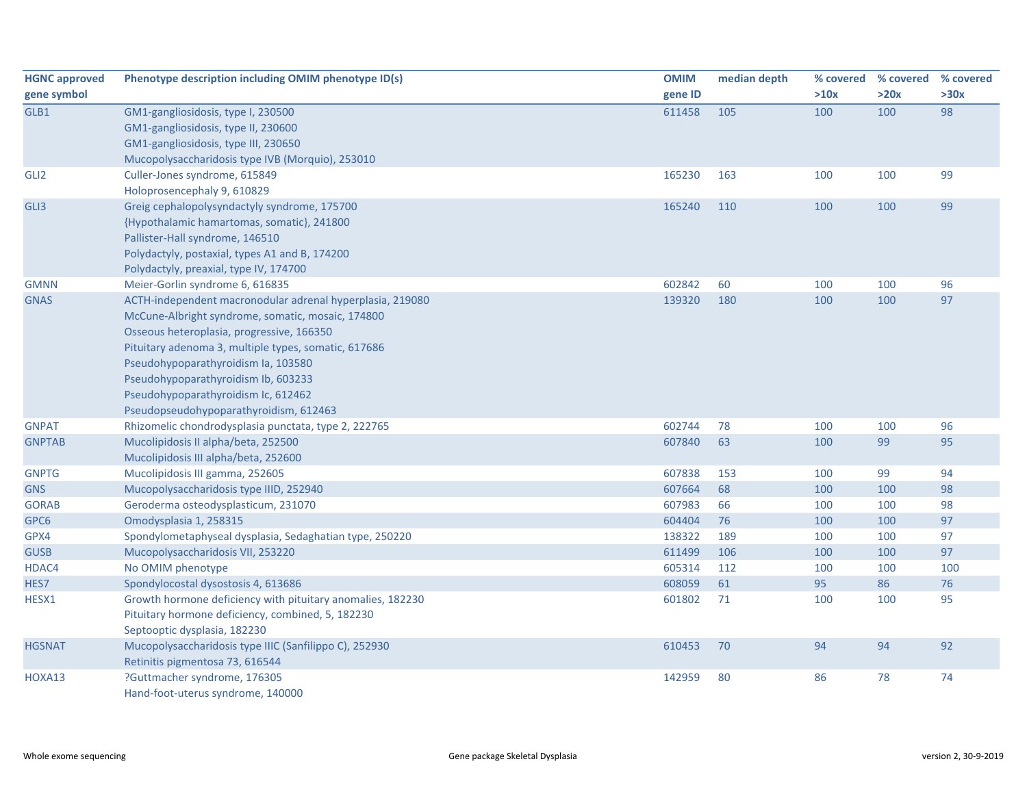| <b>HGNC approved</b> | Phenotype description including OMIM phenotype ID(s)       | <b>OMIM</b> | median depth | % covered | % covered | % covered |
|----------------------|------------------------------------------------------------|-------------|--------------|-----------|-----------|-----------|
| gene symbol          |                                                            | gene ID     |              | >10x      | >20x      | >30x      |
| GLB1                 | GM1-gangliosidosis, type I, 230500                         | 611458      | 105          | 100       | 100       | 98        |
|                      | GM1-gangliosidosis, type II, 230600                        |             |              |           |           |           |
|                      | GM1-gangliosidosis, type III, 230650                       |             |              |           |           |           |
|                      | Mucopolysaccharidosis type IVB (Morquio), 253010           |             |              |           |           |           |
| GLI <sub>2</sub>     | Culler-Jones syndrome, 615849                              | 165230      | 163          | 100       | 100       | 99        |
|                      | Holoprosencephaly 9, 610829                                |             |              |           |           |           |
| GLI3                 | Greig cephalopolysyndactyly syndrome, 175700               | 165240      | 110          | 100       | 100       | 99        |
|                      | {Hypothalamic hamartomas, somatic}, 241800                 |             |              |           |           |           |
|                      | Pallister-Hall syndrome, 146510                            |             |              |           |           |           |
|                      | Polydactyly, postaxial, types A1 and B, 174200             |             |              |           |           |           |
|                      | Polydactyly, preaxial, type IV, 174700                     |             |              |           |           |           |
| <b>GMNN</b>          | Meier-Gorlin syndrome 6, 616835                            | 602842      | 60           | 100       | 100       | 96        |
| <b>GNAS</b>          | ACTH-independent macronodular adrenal hyperplasia, 219080  | 139320      | 180          | 100       | 100       | 97        |
|                      | McCune-Albright syndrome, somatic, mosaic, 174800          |             |              |           |           |           |
|                      | Osseous heteroplasia, progressive, 166350                  |             |              |           |           |           |
|                      | Pituitary adenoma 3, multiple types, somatic, 617686       |             |              |           |           |           |
|                      | Pseudohypoparathyroidism Ia, 103580                        |             |              |           |           |           |
|                      | Pseudohypoparathyroidism Ib, 603233                        |             |              |           |           |           |
|                      | Pseudohypoparathyroidism Ic, 612462                        |             |              |           |           |           |
|                      | Pseudopseudohypoparathyroidism, 612463                     |             |              |           |           |           |
| <b>GNPAT</b>         | Rhizomelic chondrodysplasia punctata, type 2, 222765       | 602744      | 78           | 100       | 100       | 96        |
| <b>GNPTAB</b>        | Mucolipidosis II alpha/beta, 252500                        | 607840      | 63           | 100       | 99        | 95        |
|                      | Mucolipidosis III alpha/beta, 252600                       |             |              |           |           |           |
| <b>GNPTG</b>         | Mucolipidosis III gamma, 252605                            | 607838      | 153          | 100       | 99        | 94        |
| <b>GNS</b>           | Mucopolysaccharidosis type IIID, 252940                    | 607664      | 68           | 100       | 100       | 98        |
| <b>GORAB</b>         | Geroderma osteodysplasticum, 231070                        | 607983      | 66           | 100       | 100       | 98        |
| GPC6                 | Omodysplasia 1, 258315                                     | 604404      | 76           | 100       | 100       | 97        |
| GPX4                 | Spondylometaphyseal dysplasia, Sedaghatian type, 250220    | 138322      | 189          | 100       | 100       | 97        |
| <b>GUSB</b>          | Mucopolysaccharidosis VII, 253220                          | 611499      | 106          | 100       | 100       | 97        |
| HDAC4                | No OMIM phenotype                                          | 605314      | 112          | 100       | 100       | 100       |
| HES7                 | Spondylocostal dysostosis 4, 613686                        | 608059      | 61           | 95        | 86        | 76        |
| HESX1                | Growth hormone deficiency with pituitary anomalies, 182230 | 601802      | 71           | 100       | 100       | 95        |
|                      | Pituitary hormone deficiency, combined, 5, 182230          |             |              |           |           |           |
|                      | Septooptic dysplasia, 182230                               |             |              |           |           |           |
| <b>HGSNAT</b>        | Mucopolysaccharidosis type IIIC (Sanfilippo C), 252930     | 610453      | 70           | 94        | 94        | 92        |
|                      | Retinitis pigmentosa 73, 616544                            |             |              |           |           |           |
| HOXA13               | ?Guttmacher syndrome, 176305                               | 142959      | 80           | 86        | 78        | 74        |
|                      | Hand-foot-uterus syndrome, 140000                          |             |              |           |           |           |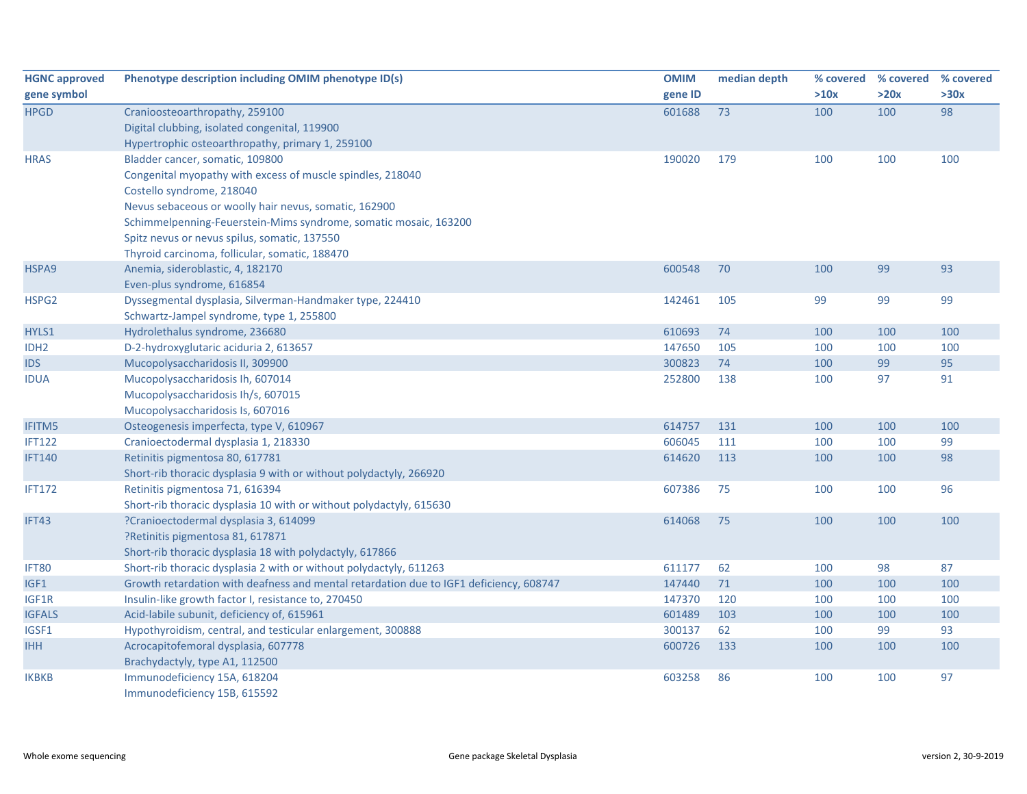| <b>HGNC approved</b> | Phenotype description including OMIM phenotype ID(s)                                   | <b>OMIM</b> | median depth |      | % covered % covered % covered |      |
|----------------------|----------------------------------------------------------------------------------------|-------------|--------------|------|-------------------------------|------|
| gene symbol          |                                                                                        | gene ID     |              | >10x | >20x                          | >30x |
| <b>HPGD</b>          | Cranioosteoarthropathy, 259100                                                         | 601688      | 73           | 100  | 100                           | 98   |
|                      | Digital clubbing, isolated congenital, 119900                                          |             |              |      |                               |      |
|                      | Hypertrophic osteoarthropathy, primary 1, 259100                                       |             |              |      |                               |      |
| <b>HRAS</b>          | Bladder cancer, somatic, 109800                                                        | 190020      | 179          | 100  | 100                           | 100  |
|                      | Congenital myopathy with excess of muscle spindles, 218040                             |             |              |      |                               |      |
|                      | Costello syndrome, 218040                                                              |             |              |      |                               |      |
|                      | Nevus sebaceous or woolly hair nevus, somatic, 162900                                  |             |              |      |                               |      |
|                      | Schimmelpenning-Feuerstein-Mims syndrome, somatic mosaic, 163200                       |             |              |      |                               |      |
|                      | Spitz nevus or nevus spilus, somatic, 137550                                           |             |              |      |                               |      |
|                      | Thyroid carcinoma, follicular, somatic, 188470                                         |             |              |      |                               |      |
| HSPA9                | Anemia, sideroblastic, 4, 182170                                                       | 600548      | 70           | 100  | 99                            | 93   |
|                      | Even-plus syndrome, 616854                                                             |             |              |      |                               |      |
| HSPG2                | Dyssegmental dysplasia, Silverman-Handmaker type, 224410                               | 142461      | 105          | 99   | 99                            | 99   |
|                      | Schwartz-Jampel syndrome, type 1, 255800                                               |             |              |      |                               |      |
| HYLS1                | Hydrolethalus syndrome, 236680                                                         | 610693      | 74           | 100  | 100                           | 100  |
| IDH <sub>2</sub>     | D-2-hydroxyglutaric aciduria 2, 613657                                                 | 147650      | 105          | 100  | 100                           | 100  |
| <b>IDS</b>           | Mucopolysaccharidosis II, 309900                                                       | 300823      | 74           | 100  | 99                            | 95   |
| <b>IDUA</b>          | Mucopolysaccharidosis Ih, 607014                                                       | 252800      | 138          | 100  | 97                            | 91   |
|                      | Mucopolysaccharidosis Ih/s, 607015                                                     |             |              |      |                               |      |
|                      | Mucopolysaccharidosis Is, 607016                                                       |             |              |      |                               |      |
| <b>IFITM5</b>        | Osteogenesis imperfecta, type V, 610967                                                | 614757      | 131          | 100  | 100                           | 100  |
| <b>IFT122</b>        | Cranioectodermal dysplasia 1, 218330                                                   | 606045      | 111          | 100  | 100                           | 99   |
| <b>IFT140</b>        | Retinitis pigmentosa 80, 617781                                                        | 614620      | 113          | 100  | 100                           | 98   |
|                      | Short-rib thoracic dysplasia 9 with or without polydactyly, 266920                     |             |              |      |                               |      |
| <b>IFT172</b>        | Retinitis pigmentosa 71, 616394                                                        | 607386      | 75           | 100  | 100                           | 96   |
|                      | Short-rib thoracic dysplasia 10 with or without polydactyly, 615630                    |             |              |      |                               |      |
| IFT43                | ?Cranioectodermal dysplasia 3, 614099                                                  | 614068      | 75           | 100  | 100                           | 100  |
|                      | ?Retinitis pigmentosa 81, 617871                                                       |             |              |      |                               |      |
|                      | Short-rib thoracic dysplasia 18 with polydactyly, 617866                               |             |              |      |                               |      |
| IFT80                | Short-rib thoracic dysplasia 2 with or without polydactyly, 611263                     | 611177      | 62           | 100  | 98                            | 87   |
| IGF1                 | Growth retardation with deafness and mental retardation due to IGF1 deficiency, 608747 | 147440      | 71           | 100  | 100                           | 100  |
| IGF1R                | Insulin-like growth factor I, resistance to, 270450                                    | 147370      | 120          | 100  | 100                           | 100  |
| <b>IGFALS</b>        | Acid-labile subunit, deficiency of, 615961                                             | 601489      | 103          | 100  | 100                           | 100  |
| IGSF1                | Hypothyroidism, central, and testicular enlargement, 300888                            | 300137      | 62           | 100  | 99                            | 93   |
| <b>IHH</b>           | Acrocapitofemoral dysplasia, 607778                                                    | 600726      | 133          | 100  | 100                           | 100  |
|                      | Brachydactyly, type A1, 112500                                                         |             |              |      |                               |      |
| <b>IKBKB</b>         | Immunodeficiency 15A, 618204                                                           | 603258      | 86           | 100  | 100                           | 97   |
|                      | Immunodeficiency 15B, 615592                                                           |             |              |      |                               |      |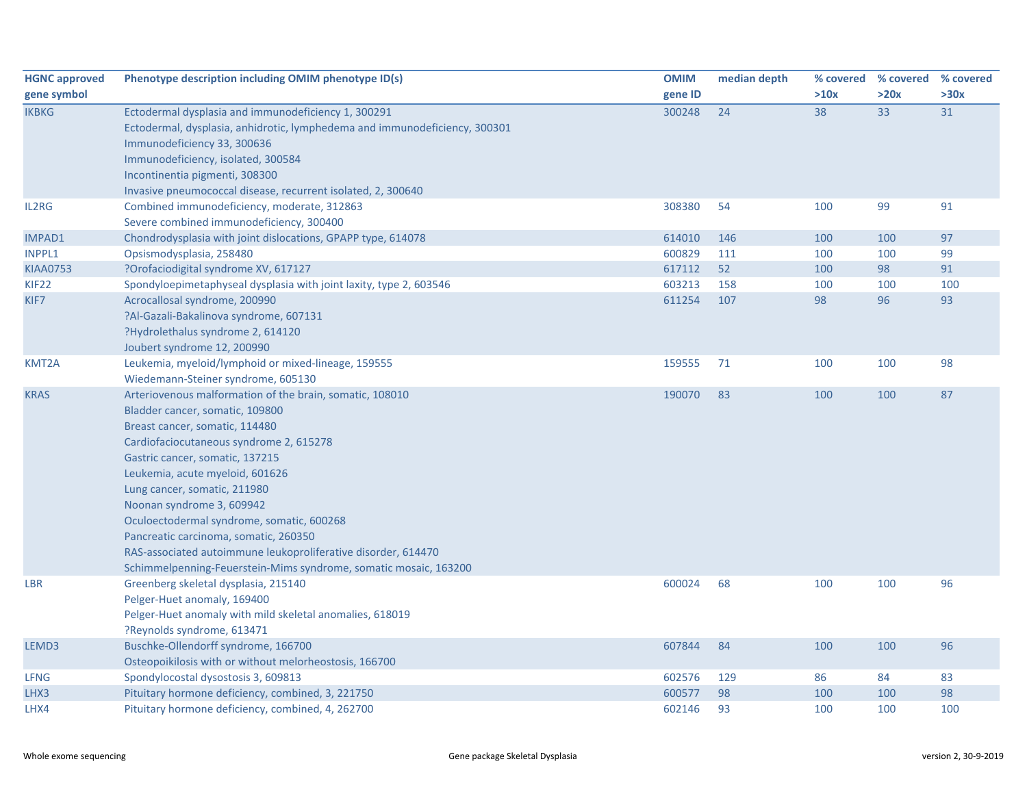| <b>HGNC approved</b> | Phenotype description including OMIM phenotype ID(s)                       | <b>OMIM</b> | median depth | % covered | % covered % covered |      |
|----------------------|----------------------------------------------------------------------------|-------------|--------------|-----------|---------------------|------|
| gene symbol          |                                                                            | gene ID     |              | >10x      | >20x                | >30x |
| <b>IKBKG</b>         | Ectodermal dysplasia and immunodeficiency 1, 300291                        | 300248      | 24           | 38        | 33                  | 31   |
|                      | Ectodermal, dysplasia, anhidrotic, lymphedema and immunodeficiency, 300301 |             |              |           |                     |      |
|                      | Immunodeficiency 33, 300636                                                |             |              |           |                     |      |
|                      | Immunodeficiency, isolated, 300584                                         |             |              |           |                     |      |
|                      | Incontinentia pigmenti, 308300                                             |             |              |           |                     |      |
|                      | Invasive pneumococcal disease, recurrent isolated, 2, 300640               |             |              |           |                     |      |
| IL2RG                | Combined immunodeficiency, moderate, 312863                                | 308380      | 54           | 100       | 99                  | 91   |
|                      | Severe combined immunodeficiency, 300400                                   |             |              |           |                     |      |
| <b>IMPAD1</b>        | Chondrodysplasia with joint dislocations, GPAPP type, 614078               | 614010      | 146          | 100       | 100                 | 97   |
| <b>INPPL1</b>        | Opsismodysplasia, 258480                                                   | 600829      | 111          | 100       | 100                 | 99   |
| <b>KIAA0753</b>      | ?Orofaciodigital syndrome XV, 617127                                       | 617112      | 52           | 100       | 98                  | 91   |
| KIF <sub>22</sub>    | Spondyloepimetaphyseal dysplasia with joint laxity, type 2, 603546         | 603213      | 158          | 100       | 100                 | 100  |
| KIF7                 | Acrocallosal syndrome, 200990                                              | 611254      | 107          | 98        | 96                  | 93   |
|                      | ?Al-Gazali-Bakalinova syndrome, 607131                                     |             |              |           |                     |      |
|                      | ?Hydrolethalus syndrome 2, 614120                                          |             |              |           |                     |      |
|                      | Joubert syndrome 12, 200990                                                |             |              |           |                     |      |
| KMT2A                | Leukemia, myeloid/lymphoid or mixed-lineage, 159555                        | 159555      | 71           | 100       | 100                 | 98   |
|                      | Wiedemann-Steiner syndrome, 605130                                         |             |              |           |                     |      |
| <b>KRAS</b>          | Arteriovenous malformation of the brain, somatic, 108010                   | 190070      | 83           | 100       | 100                 | 87   |
|                      | Bladder cancer, somatic, 109800                                            |             |              |           |                     |      |
|                      | Breast cancer, somatic, 114480                                             |             |              |           |                     |      |
|                      | Cardiofaciocutaneous syndrome 2, 615278                                    |             |              |           |                     |      |
|                      | Gastric cancer, somatic, 137215                                            |             |              |           |                     |      |
|                      | Leukemia, acute myeloid, 601626                                            |             |              |           |                     |      |
|                      | Lung cancer, somatic, 211980                                               |             |              |           |                     |      |
|                      | Noonan syndrome 3, 609942                                                  |             |              |           |                     |      |
|                      | Oculoectodermal syndrome, somatic, 600268                                  |             |              |           |                     |      |
|                      | Pancreatic carcinoma, somatic, 260350                                      |             |              |           |                     |      |
|                      | RAS-associated autoimmune leukoproliferative disorder, 614470              |             |              |           |                     |      |
|                      | Schimmelpenning-Feuerstein-Mims syndrome, somatic mosaic, 163200           |             |              |           |                     |      |
| <b>LBR</b>           | Greenberg skeletal dysplasia, 215140                                       | 600024      | 68           | 100       | 100                 | 96   |
|                      | Pelger-Huet anomaly, 169400                                                |             |              |           |                     |      |
|                      | Pelger-Huet anomaly with mild skeletal anomalies, 618019                   |             |              |           |                     |      |
|                      | ?Reynolds syndrome, 613471                                                 |             |              |           |                     |      |
| LEMD3                | Buschke-Ollendorff syndrome, 166700                                        | 607844      | 84           | 100       | 100                 | 96   |
|                      | Osteopoikilosis with or without melorheostosis, 166700                     |             |              |           |                     |      |
| <b>LFNG</b>          | Spondylocostal dysostosis 3, 609813                                        | 602576      | 129          | 86        | 84                  | 83   |
| LHX3                 | Pituitary hormone deficiency, combined, 3, 221750                          | 600577      | 98           | 100       | 100                 | 98   |
| LHX4                 | Pituitary hormone deficiency, combined, 4, 262700                          | 602146      | 93           | 100       | 100                 | 100  |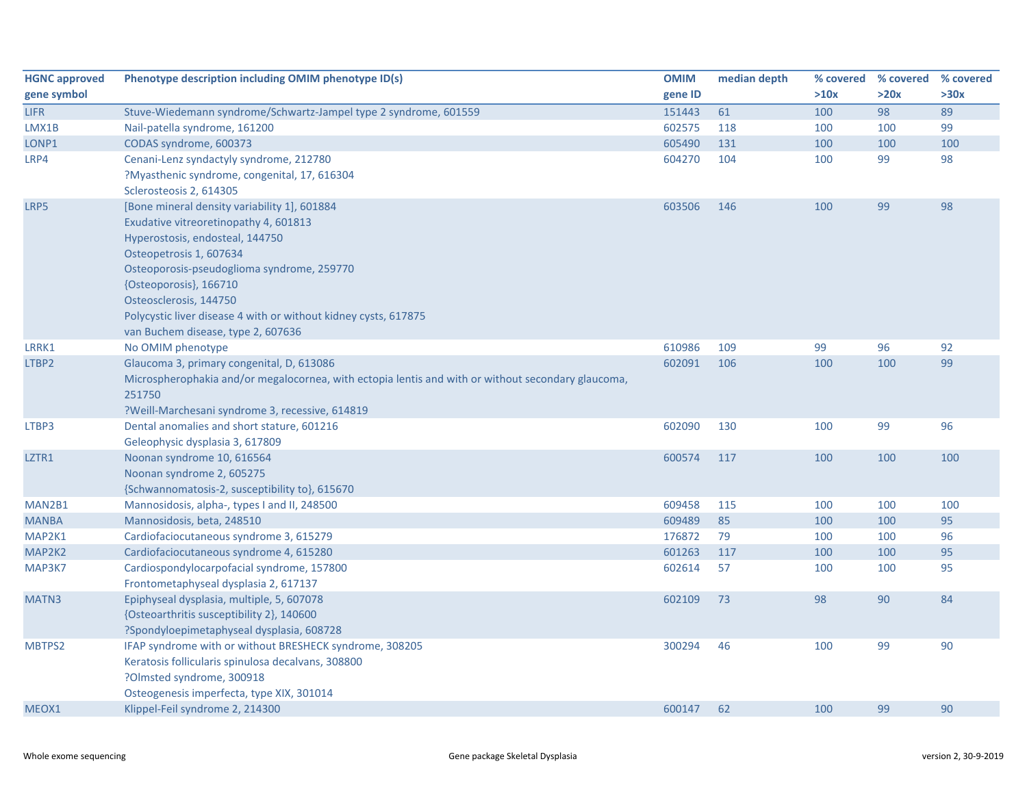| <b>HGNC approved</b> | Phenotype description including OMIM phenotype ID(s)                                               | <b>OMIM</b> | median depth |      | % covered % covered | % covered |
|----------------------|----------------------------------------------------------------------------------------------------|-------------|--------------|------|---------------------|-----------|
| gene symbol          |                                                                                                    | gene ID     |              | >10x | >20x                | >30x      |
| <b>LIFR</b>          | Stuve-Wiedemann syndrome/Schwartz-Jampel type 2 syndrome, 601559                                   | 151443      | 61           | 100  | 98                  | 89        |
| LMX1B                | Nail-patella syndrome, 161200                                                                      | 602575      | 118          | 100  | 100                 | 99        |
| LONP1                | CODAS syndrome, 600373                                                                             | 605490      | 131          | 100  | 100                 | 100       |
| LRP4                 | Cenani-Lenz syndactyly syndrome, 212780                                                            | 604270      | 104          | 100  | 99                  | 98        |
|                      | ?Myasthenic syndrome, congenital, 17, 616304                                                       |             |              |      |                     |           |
|                      | Sclerosteosis 2, 614305                                                                            |             |              |      |                     |           |
| LRP5                 | [Bone mineral density variability 1], 601884                                                       | 603506      | 146          | 100  | 99                  | 98        |
|                      | Exudative vitreoretinopathy 4, 601813                                                              |             |              |      |                     |           |
|                      | Hyperostosis, endosteal, 144750                                                                    |             |              |      |                     |           |
|                      | Osteopetrosis 1, 607634                                                                            |             |              |      |                     |           |
|                      | Osteoporosis-pseudoglioma syndrome, 259770                                                         |             |              |      |                     |           |
|                      | {Osteoporosis}, 166710                                                                             |             |              |      |                     |           |
|                      | Osteosclerosis, 144750                                                                             |             |              |      |                     |           |
|                      | Polycystic liver disease 4 with or without kidney cysts, 617875                                    |             |              |      |                     |           |
|                      | van Buchem disease, type 2, 607636                                                                 |             |              |      |                     |           |
| LRRK1                | No OMIM phenotype                                                                                  | 610986      | 109          | 99   | 96                  | 92        |
| LTBP2                | Glaucoma 3, primary congenital, D, 613086                                                          | 602091      | 106          | 100  | 100                 | 99        |
|                      | Microspherophakia and/or megalocornea, with ectopia lentis and with or without secondary glaucoma, |             |              |      |                     |           |
|                      | 251750                                                                                             |             |              |      |                     |           |
|                      | ?Weill-Marchesani syndrome 3, recessive, 614819                                                    |             |              |      |                     |           |
| LTBP3                | Dental anomalies and short stature, 601216                                                         | 602090      | 130          | 100  | 99                  | 96        |
|                      | Geleophysic dysplasia 3, 617809                                                                    |             |              |      |                     |           |
| LZTR1                | Noonan syndrome 10, 616564                                                                         | 600574      | 117          | 100  | 100                 | 100       |
|                      | Noonan syndrome 2, 605275                                                                          |             |              |      |                     |           |
|                      | {Schwannomatosis-2, susceptibility to}, 615670                                                     |             |              |      |                     |           |
| MAN2B1               | Mannosidosis, alpha-, types I and II, 248500                                                       | 609458      | 115          | 100  | 100                 | 100       |
| <b>MANBA</b>         | Mannosidosis, beta, 248510                                                                         | 609489      | 85           | 100  | 100                 | 95        |
| MAP2K1               | Cardiofaciocutaneous syndrome 3, 615279                                                            | 176872      | 79           | 100  | 100                 | 96        |
| MAP2K2               | Cardiofaciocutaneous syndrome 4, 615280                                                            | 601263      | 117          | 100  | 100                 | 95        |
| MAP3K7               | Cardiospondylocarpofacial syndrome, 157800                                                         | 602614      | 57           | 100  | 100                 | 95        |
|                      | Frontometaphyseal dysplasia 2, 617137                                                              |             |              |      |                     |           |
| MATN3                | Epiphyseal dysplasia, multiple, 5, 607078                                                          | 602109      | 73           | 98   | 90                  | 84        |
|                      | {Osteoarthritis susceptibility 2}, 140600                                                          |             |              |      |                     |           |
|                      | ?Spondyloepimetaphyseal dysplasia, 608728                                                          |             |              |      |                     |           |
| MBTPS2               | IFAP syndrome with or without BRESHECK syndrome, 308205                                            | 300294      | 46           | 100  | 99                  | 90        |
|                      | Keratosis follicularis spinulosa decalvans, 308800                                                 |             |              |      |                     |           |
|                      | ?Olmsted syndrome, 300918                                                                          |             |              |      |                     |           |
|                      | Osteogenesis imperfecta, type XIX, 301014                                                          |             |              |      |                     |           |
| MEOX1                | Klippel-Feil syndrome 2, 214300                                                                    | 600147      | 62           | 100  | 99                  | 90        |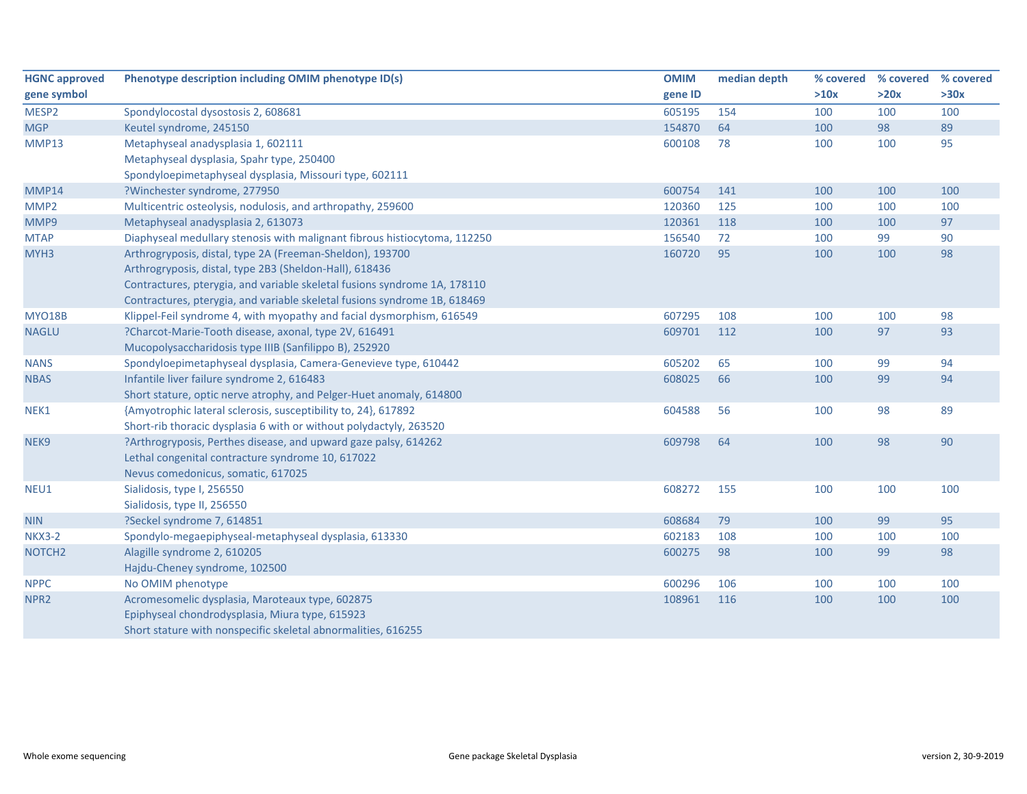| <b>HGNC approved</b> | Phenotype description including OMIM phenotype ID(s)                      | <b>OMIM</b> | median depth | % covered | % covered | % covered |
|----------------------|---------------------------------------------------------------------------|-------------|--------------|-----------|-----------|-----------|
| gene symbol          |                                                                           | gene ID     |              | >10x      | >20x      | >30x      |
| MESP2                | Spondylocostal dysostosis 2, 608681                                       | 605195      | 154          | 100       | 100       | 100       |
| <b>MGP</b>           | Keutel syndrome, 245150                                                   | 154870      | 64           | 100       | 98        | 89        |
| MMP13                | Metaphyseal anadysplasia 1, 602111                                        | 600108      | 78           | 100       | 100       | 95        |
|                      | Metaphyseal dysplasia, Spahr type, 250400                                 |             |              |           |           |           |
|                      | Spondyloepimetaphyseal dysplasia, Missouri type, 602111                   |             |              |           |           |           |
| MMP14                | ?Winchester syndrome, 277950                                              | 600754      | 141          | 100       | 100       | 100       |
| MMP <sub>2</sub>     | Multicentric osteolysis, nodulosis, and arthropathy, 259600               | 120360      | 125          | 100       | 100       | 100       |
| MMP9                 | Metaphyseal anadysplasia 2, 613073                                        | 120361      | 118          | 100       | 100       | 97        |
| <b>MTAP</b>          | Diaphyseal medullary stenosis with malignant fibrous histiocytoma, 112250 | 156540      | 72           | 100       | 99        | 90        |
| MYH3                 | Arthrogryposis, distal, type 2A (Freeman-Sheldon), 193700                 | 160720      | 95           | 100       | 100       | 98        |
|                      | Arthrogryposis, distal, type 2B3 (Sheldon-Hall), 618436                   |             |              |           |           |           |
|                      | Contractures, pterygia, and variable skeletal fusions syndrome 1A, 178110 |             |              |           |           |           |
|                      | Contractures, pterygia, and variable skeletal fusions syndrome 1B, 618469 |             |              |           |           |           |
| <b>MYO18B</b>        | Klippel-Feil syndrome 4, with myopathy and facial dysmorphism, 616549     | 607295      | 108          | 100       | 100       | 98        |
| <b>NAGLU</b>         | ?Charcot-Marie-Tooth disease, axonal, type 2V, 616491                     | 609701      | 112          | 100       | 97        | 93        |
|                      | Mucopolysaccharidosis type IIIB (Sanfilippo B), 252920                    |             |              |           |           |           |
| <b>NANS</b>          | Spondyloepimetaphyseal dysplasia, Camera-Genevieve type, 610442           | 605202      | 65           | 100       | 99        | 94        |
| <b>NBAS</b>          | Infantile liver failure syndrome 2, 616483                                | 608025      | 66           | 100       | 99        | 94        |
|                      | Short stature, optic nerve atrophy, and Pelger-Huet anomaly, 614800       |             |              |           |           |           |
| NEK1                 | {Amyotrophic lateral sclerosis, susceptibility to, 24}, 617892            | 604588      | 56           | 100       | 98        | 89        |
|                      | Short-rib thoracic dysplasia 6 with or without polydactyly, 263520        |             |              |           |           |           |
| NEK9                 | ?Arthrogryposis, Perthes disease, and upward gaze palsy, 614262           | 609798      | 64           | 100       | 98        | 90        |
|                      | Lethal congenital contracture syndrome 10, 617022                         |             |              |           |           |           |
|                      | Nevus comedonicus, somatic, 617025                                        |             |              |           |           |           |
| NEU1                 | Sialidosis, type I, 256550                                                | 608272      | 155          | 100       | 100       | 100       |
|                      | Sialidosis, type II, 256550                                               |             |              |           |           |           |
| <b>NIN</b>           | ?Seckel syndrome 7, 614851                                                | 608684      | 79           | 100       | 99        | 95        |
| <b>NKX3-2</b>        | Spondylo-megaepiphyseal-metaphyseal dysplasia, 613330                     | 602183      | 108          | 100       | 100       | 100       |
| NOTCH <sub>2</sub>   | Alagille syndrome 2, 610205                                               | 600275      | 98           | 100       | 99        | 98        |
|                      | Hajdu-Cheney syndrome, 102500                                             |             |              |           |           |           |
| <b>NPPC</b>          | No OMIM phenotype                                                         | 600296      | 106          | 100       | 100       | 100       |
| NPR <sub>2</sub>     | Acromesomelic dysplasia, Maroteaux type, 602875                           | 108961      | 116          | 100       | 100       | 100       |
|                      | Epiphyseal chondrodysplasia, Miura type, 615923                           |             |              |           |           |           |
|                      | Short stature with nonspecific skeletal abnormalities, 616255             |             |              |           |           |           |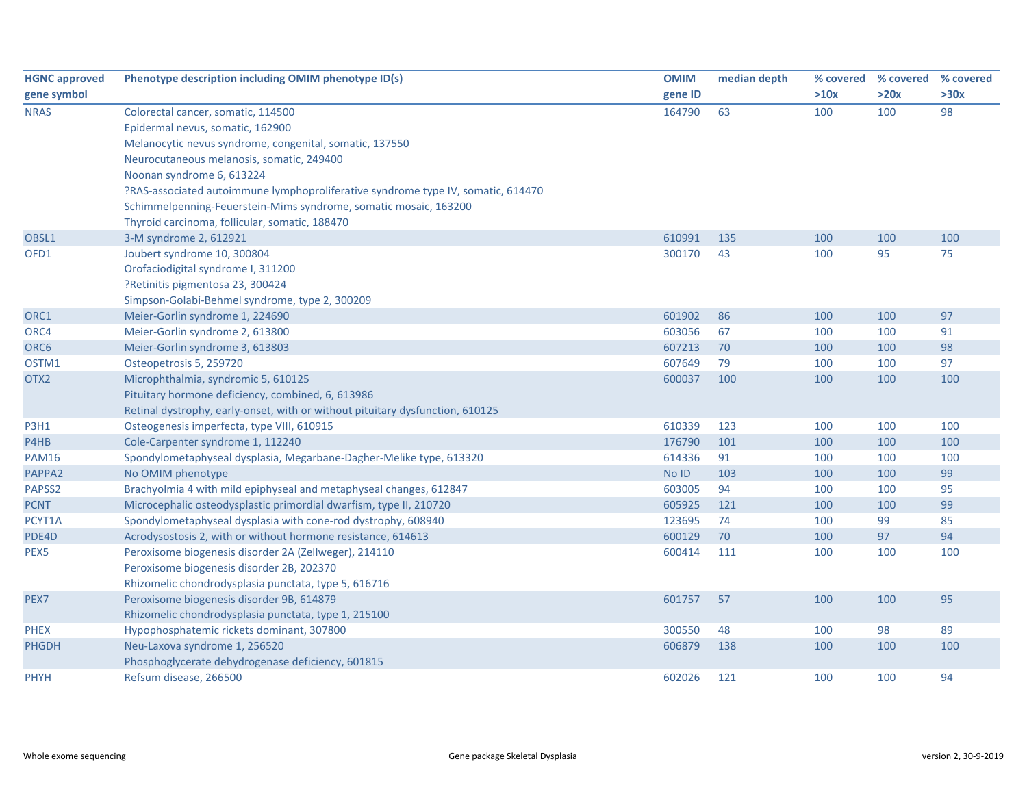| <b>HGNC approved</b> | Phenotype description including OMIM phenotype ID(s)                             | <b>OMIM</b> | median depth | % covered | % covered | % covered |
|----------------------|----------------------------------------------------------------------------------|-------------|--------------|-----------|-----------|-----------|
| gene symbol          |                                                                                  | gene ID     |              | >10x      | >20x      | >30x      |
| <b>NRAS</b>          | Colorectal cancer, somatic, 114500                                               | 164790      | 63           | 100       | 100       | 98        |
|                      | Epidermal nevus, somatic, 162900                                                 |             |              |           |           |           |
|                      | Melanocytic nevus syndrome, congenital, somatic, 137550                          |             |              |           |           |           |
|                      | Neurocutaneous melanosis, somatic, 249400                                        |             |              |           |           |           |
|                      | Noonan syndrome 6, 613224                                                        |             |              |           |           |           |
|                      | ?RAS-associated autoimmune lymphoproliferative syndrome type IV, somatic, 614470 |             |              |           |           |           |
|                      | Schimmelpenning-Feuerstein-Mims syndrome, somatic mosaic, 163200                 |             |              |           |           |           |
|                      | Thyroid carcinoma, follicular, somatic, 188470                                   |             |              |           |           |           |
| OBSL1                | 3-M syndrome 2, 612921                                                           | 610991      | 135          | 100       | 100       | 100       |
| OFD1                 | Joubert syndrome 10, 300804                                                      | 300170      | 43           | 100       | 95        | 75        |
|                      | Orofaciodigital syndrome I, 311200                                               |             |              |           |           |           |
|                      | ?Retinitis pigmentosa 23, 300424                                                 |             |              |           |           |           |
|                      | Simpson-Golabi-Behmel syndrome, type 2, 300209                                   |             |              |           |           |           |
| ORC1                 | Meier-Gorlin syndrome 1, 224690                                                  | 601902      | 86           | 100       | 100       | 97        |
| ORC4                 | Meier-Gorlin syndrome 2, 613800                                                  | 603056      | 67           | 100       | 100       | 91        |
| ORC <sub>6</sub>     | Meier-Gorlin syndrome 3, 613803                                                  | 607213      | 70           | 100       | 100       | 98        |
| OSTM1                | Osteopetrosis 5, 259720                                                          | 607649      | 79           | 100       | 100       | 97        |
| OTX2                 | Microphthalmia, syndromic 5, 610125                                              | 600037      | 100          | 100       | 100       | 100       |
|                      | Pituitary hormone deficiency, combined, 6, 613986                                |             |              |           |           |           |
|                      | Retinal dystrophy, early-onset, with or without pituitary dysfunction, 610125    |             |              |           |           |           |
| <b>P3H1</b>          | Osteogenesis imperfecta, type VIII, 610915                                       | 610339      | 123          | 100       | 100       | 100       |
| P4HB                 | Cole-Carpenter syndrome 1, 112240                                                | 176790      | 101          | 100       | 100       | 100       |
| <b>PAM16</b>         | Spondylometaphyseal dysplasia, Megarbane-Dagher-Melike type, 613320              | 614336      | 91           | 100       | 100       | 100       |
| PAPPA2               | No OMIM phenotype                                                                | No ID       | 103          | 100       | 100       | 99        |
| PAPSS2               | Brachyolmia 4 with mild epiphyseal and metaphyseal changes, 612847               | 603005      | 94           | 100       | 100       | 95        |
| <b>PCNT</b>          | Microcephalic osteodysplastic primordial dwarfism, type II, 210720               | 605925      | 121          | 100       | 100       | 99        |
| PCYT1A               | Spondylometaphyseal dysplasia with cone-rod dystrophy, 608940                    | 123695      | 74           | 100       | 99        | 85        |
| PDE4D                | Acrodysostosis 2, with or without hormone resistance, 614613                     | 600129      | 70           | 100       | 97        | 94        |
| PEX5                 | Peroxisome biogenesis disorder 2A (Zellweger), 214110                            | 600414      | 111          | 100       | 100       | 100       |
|                      | Peroxisome biogenesis disorder 2B, 202370                                        |             |              |           |           |           |
|                      | Rhizomelic chondrodysplasia punctata, type 5, 616716                             |             |              |           |           |           |
| PEX7                 | Peroxisome biogenesis disorder 9B, 614879                                        | 601757      | 57           | 100       | 100       | 95        |
|                      | Rhizomelic chondrodysplasia punctata, type 1, 215100                             |             |              |           |           |           |
| <b>PHEX</b>          | Hypophosphatemic rickets dominant, 307800                                        | 300550      | 48           | 100       | 98        | 89        |
| <b>PHGDH</b>         | Neu-Laxova syndrome 1, 256520                                                    | 606879      | 138          | 100       | 100       | 100       |
|                      | Phosphoglycerate dehydrogenase deficiency, 601815                                |             |              |           |           |           |
| <b>PHYH</b>          | Refsum disease, 266500                                                           | 602026      | 121          | 100       | 100       | 94        |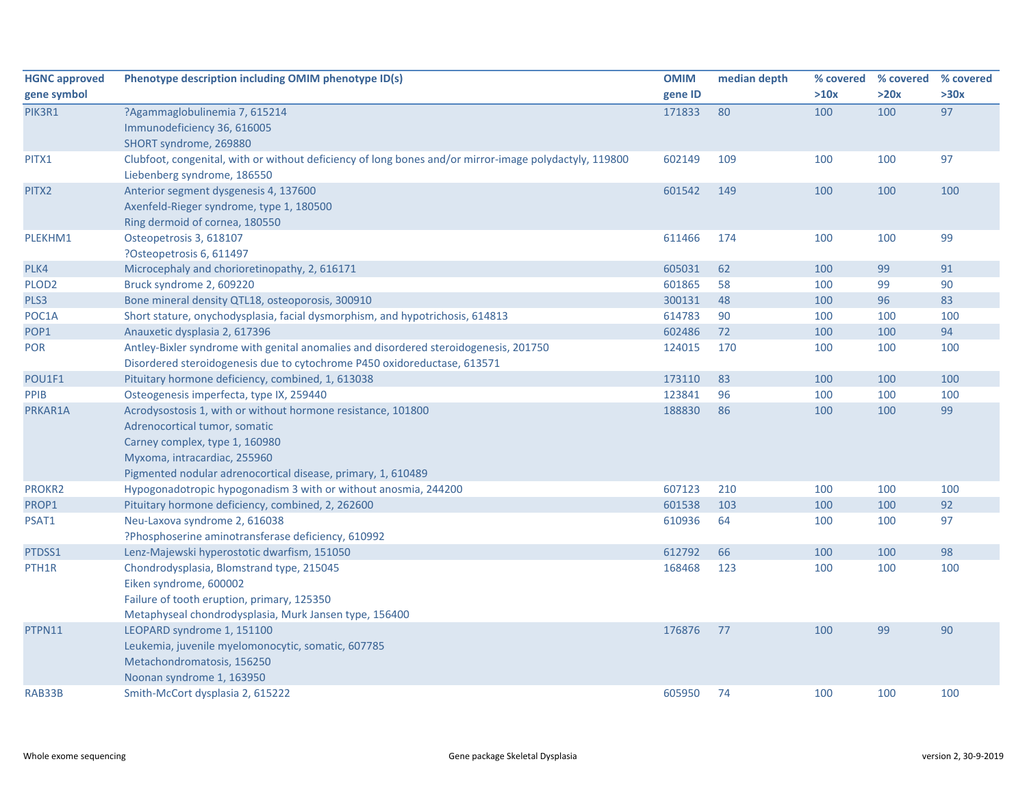| <b>HGNC approved</b> | Phenotype description including OMIM phenotype ID(s)                                                   | <b>OMIM</b> | median depth |      | % covered % covered | % covered |
|----------------------|--------------------------------------------------------------------------------------------------------|-------------|--------------|------|---------------------|-----------|
| gene symbol          |                                                                                                        | gene ID     |              | >10x | >20x                | >30x      |
| PIK3R1               | ?Agammaglobulinemia 7, 615214                                                                          | 171833      | 80           | 100  | 100                 | 97        |
|                      | Immunodeficiency 36, 616005                                                                            |             |              |      |                     |           |
|                      | SHORT syndrome, 269880                                                                                 |             |              |      |                     |           |
| PITX1                | Clubfoot, congenital, with or without deficiency of long bones and/or mirror-image polydactyly, 119800 | 602149      | 109          | 100  | 100                 | 97        |
|                      | Liebenberg syndrome, 186550                                                                            |             |              |      |                     |           |
| PITX2                | Anterior segment dysgenesis 4, 137600                                                                  | 601542      | 149          | 100  | 100                 | 100       |
|                      | Axenfeld-Rieger syndrome, type 1, 180500                                                               |             |              |      |                     |           |
|                      | Ring dermoid of cornea, 180550                                                                         |             |              |      |                     |           |
| PLEKHM1              | Osteopetrosis 3, 618107                                                                                | 611466      | 174          | 100  | 100                 | 99        |
|                      | ?Osteopetrosis 6, 611497                                                                               |             |              |      |                     |           |
| PLK4                 | Microcephaly and chorioretinopathy, 2, 616171                                                          | 605031      | 62           | 100  | 99                  | 91        |
| PLOD <sub>2</sub>    | Bruck syndrome 2, 609220                                                                               | 601865      | 58           | 100  | 99                  | 90        |
| PLS3                 | Bone mineral density QTL18, osteoporosis, 300910                                                       | 300131      | 48           | 100  | 96                  | 83        |
| POC1A                | Short stature, onychodysplasia, facial dysmorphism, and hypotrichosis, 614813                          | 614783      | 90           | 100  | 100                 | 100       |
| POP1                 | Anauxetic dysplasia 2, 617396                                                                          | 602486      | 72           | 100  | 100                 | 94        |
| POR                  | Antley-Bixler syndrome with genital anomalies and disordered steroidogenesis, 201750                   | 124015      | 170          | 100  | 100                 | 100       |
|                      | Disordered steroidogenesis due to cytochrome P450 oxidoreductase, 613571                               |             |              |      |                     |           |
| POU1F1               | Pituitary hormone deficiency, combined, 1, 613038                                                      | 173110      | 83           | 100  | 100                 | 100       |
| PPIB                 | Osteogenesis imperfecta, type IX, 259440                                                               | 123841      | 96           | 100  | 100                 | 100       |
| PRKAR1A              | Acrodysostosis 1, with or without hormone resistance, 101800                                           | 188830      | 86           | 100  | 100                 | 99        |
|                      | Adrenocortical tumor, somatic                                                                          |             |              |      |                     |           |
|                      | Carney complex, type 1, 160980                                                                         |             |              |      |                     |           |
|                      | Myxoma, intracardiac, 255960                                                                           |             |              |      |                     |           |
|                      | Pigmented nodular adrenocortical disease, primary, 1, 610489                                           |             |              |      |                     |           |
| PROKR2               | Hypogonadotropic hypogonadism 3 with or without anosmia, 244200                                        | 607123      | 210          | 100  | 100                 | 100       |
| PROP1                | Pituitary hormone deficiency, combined, 2, 262600                                                      | 601538      | 103          | 100  | 100                 | 92        |
| PSAT1                | Neu-Laxova syndrome 2, 616038                                                                          | 610936      | 64           | 100  | 100                 | 97        |
|                      | ?Phosphoserine aminotransferase deficiency, 610992                                                     |             |              |      |                     |           |
| PTDSS1               | Lenz-Majewski hyperostotic dwarfism, 151050                                                            | 612792      | 66           | 100  | 100                 | 98        |
| PTH <sub>1</sub> R   | Chondrodysplasia, Blomstrand type, 215045                                                              | 168468      | 123          | 100  | 100                 | 100       |
|                      | Eiken syndrome, 600002                                                                                 |             |              |      |                     |           |
|                      | Failure of tooth eruption, primary, 125350                                                             |             |              |      |                     |           |
|                      | Metaphyseal chondrodysplasia, Murk Jansen type, 156400                                                 |             |              |      |                     |           |
| PTPN11               | LEOPARD syndrome 1, 151100                                                                             | 176876      | 77           | 100  | 99                  | 90        |
|                      | Leukemia, juvenile myelomonocytic, somatic, 607785                                                     |             |              |      |                     |           |
|                      | Metachondromatosis, 156250                                                                             |             |              |      |                     |           |
|                      | Noonan syndrome 1, 163950                                                                              |             |              |      |                     |           |
| RAB33B               | Smith-McCort dysplasia 2, 615222                                                                       | 605950      | 74           | 100  | 100                 | 100       |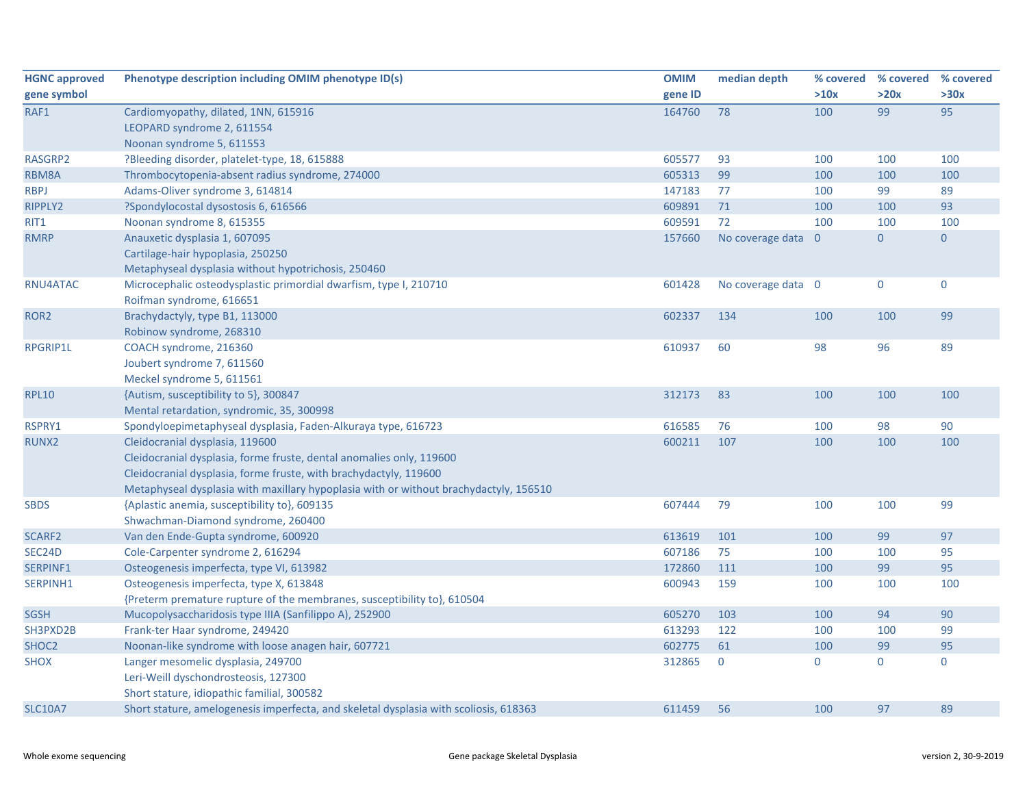| <b>HGNC approved</b> | Phenotype description including OMIM phenotype ID(s)                                  | <b>OMIM</b> | median depth       | % covered   | % covered    | % covered      |
|----------------------|---------------------------------------------------------------------------------------|-------------|--------------------|-------------|--------------|----------------|
| gene symbol          |                                                                                       | gene ID     |                    | >10x        | >20x         | >30x           |
| RAF1                 | Cardiomyopathy, dilated, 1NN, 615916                                                  | 164760      | 78                 | 100         | 99           | 95             |
|                      | LEOPARD syndrome 2, 611554                                                            |             |                    |             |              |                |
|                      | Noonan syndrome 5, 611553                                                             |             |                    |             |              |                |
| RASGRP2              | ?Bleeding disorder, platelet-type, 18, 615888                                         | 605577      | 93                 | 100         | 100          | 100            |
| RBM8A                | Thrombocytopenia-absent radius syndrome, 274000                                       | 605313      | 99                 | 100         | 100          | 100            |
| <b>RBPJ</b>          | Adams-Oliver syndrome 3, 614814                                                       | 147183      | 77                 | 100         | 99           | 89             |
| RIPPLY2              | ?Spondylocostal dysostosis 6, 616566                                                  | 609891      | $71$               | 100         | 100          | 93             |
| RIT1                 | Noonan syndrome 8, 615355                                                             | 609591      | 72                 | 100         | 100          | 100            |
| <b>RMRP</b>          | Anauxetic dysplasia 1, 607095                                                         | 157660      | No coverage data 0 |             | $\mathbf{0}$ | $\overline{0}$ |
|                      | Cartilage-hair hypoplasia, 250250                                                     |             |                    |             |              |                |
|                      | Metaphyseal dysplasia without hypotrichosis, 250460                                   |             |                    |             |              |                |
| RNU4ATAC             | Microcephalic osteodysplastic primordial dwarfism, type I, 210710                     | 601428      | No coverage data 0 |             | $\pmb{0}$    | $\mathbf 0$    |
|                      | Roifman syndrome, 616651                                                              |             |                    |             |              |                |
| ROR <sub>2</sub>     | Brachydactyly, type B1, 113000                                                        | 602337      | 134                | 100         | 100          | 99             |
|                      | Robinow syndrome, 268310                                                              |             |                    |             |              |                |
| <b>RPGRIP1L</b>      | COACH syndrome, 216360                                                                | 610937      | 60                 | 98          | 96           | 89             |
|                      | Joubert syndrome 7, 611560                                                            |             |                    |             |              |                |
|                      | Meckel syndrome 5, 611561                                                             |             |                    |             |              |                |
| <b>RPL10</b>         | {Autism, susceptibility to 5}, 300847                                                 | 312173      | 83                 | 100         | 100          | 100            |
|                      | Mental retardation, syndromic, 35, 300998                                             |             |                    |             |              |                |
| RSPRY1               | Spondyloepimetaphyseal dysplasia, Faden-Alkuraya type, 616723                         | 616585      | 76                 | 100         | 98           | 90             |
| RUNX2                | Cleidocranial dysplasia, 119600                                                       | 600211      | 107                | 100         | 100          | 100            |
|                      | Cleidocranial dysplasia, forme fruste, dental anomalies only, 119600                  |             |                    |             |              |                |
|                      | Cleidocranial dysplasia, forme fruste, with brachydactyly, 119600                     |             |                    |             |              |                |
|                      | Metaphyseal dysplasia with maxillary hypoplasia with or without brachydactyly, 156510 |             |                    |             |              |                |
| <b>SBDS</b>          | {Aplastic anemia, susceptibility to}, 609135                                          | 607444      | 79                 | 100         | 100          | 99             |
|                      | Shwachman-Diamond syndrome, 260400                                                    |             |                    |             |              |                |
| SCARF2               | Van den Ende-Gupta syndrome, 600920                                                   | 613619      | 101                | 100         | 99           | 97             |
| SEC24D               | Cole-Carpenter syndrome 2, 616294                                                     | 607186      | 75                 | 100         | 100          | 95             |
| SERPINF1             | Osteogenesis imperfecta, type VI, 613982                                              | 172860      | 111                | 100         | 99           | 95             |
| SERPINH1             | Osteogenesis imperfecta, type X, 613848                                               | 600943      | 159                | 100         | 100          | 100            |
|                      | {Preterm premature rupture of the membranes, susceptibility to}, 610504               |             |                    |             |              |                |
| <b>SGSH</b>          | Mucopolysaccharidosis type IIIA (Sanfilippo A), 252900                                | 605270      | 103                | 100         | 94           | 90             |
| SH3PXD2B             | Frank-ter Haar syndrome, 249420                                                       | 613293      | 122                | 100         | 100          | 99             |
| SHOC2                | Noonan-like syndrome with loose anagen hair, 607721                                   | 602775      | 61                 | 100         | 99           | 95             |
| <b>SHOX</b>          | Langer mesomelic dysplasia, 249700                                                    | 312865      | $\mathbf 0$        | $\mathbf 0$ | $\mathbf 0$  | $\mathbf 0$    |
|                      | Leri-Weill dyschondrosteosis, 127300                                                  |             |                    |             |              |                |
|                      | Short stature, idiopathic familial, 300582                                            |             |                    |             |              |                |
| <b>SLC10A7</b>       | Short stature, amelogenesis imperfecta, and skeletal dysplasia with scoliosis, 618363 | 611459      | 56                 | 100         | 97           | 89             |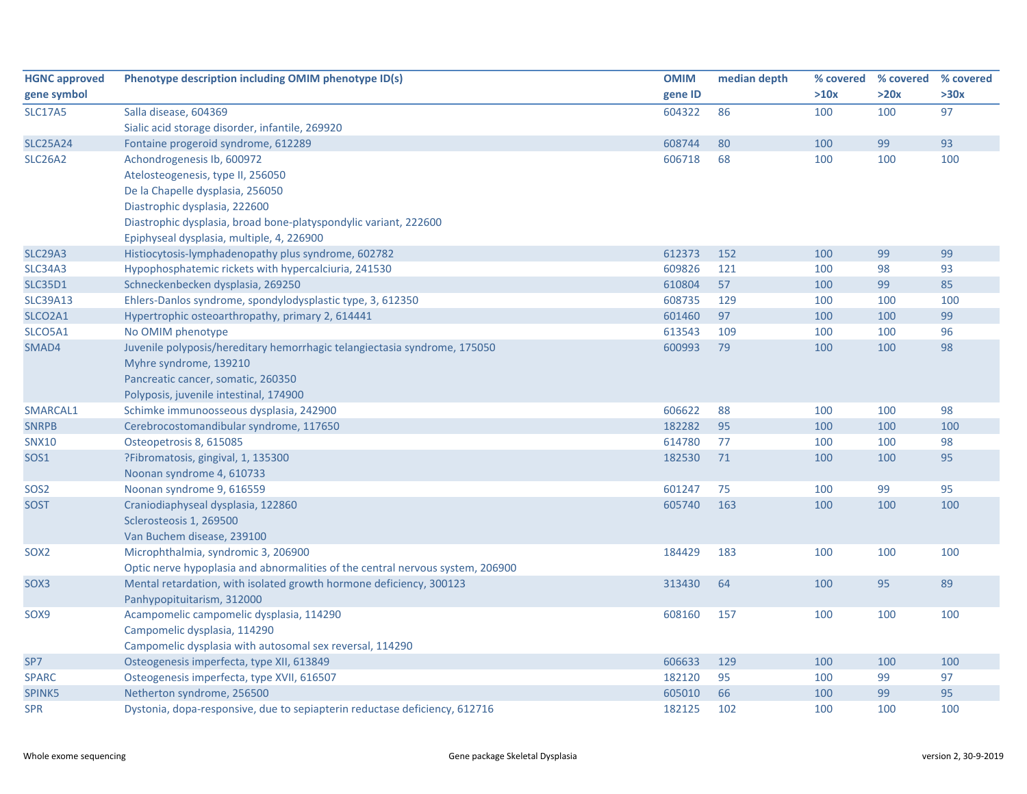| <b>HGNC approved</b> | Phenotype description including OMIM phenotype ID(s)                           | <b>OMIM</b> | median depth |      | % covered % covered | % covered |
|----------------------|--------------------------------------------------------------------------------|-------------|--------------|------|---------------------|-----------|
| gene symbol          |                                                                                | gene ID     |              | >10x | >20x                | >30x      |
| <b>SLC17A5</b>       | Salla disease, 604369                                                          | 604322      | 86           | 100  | 100                 | 97        |
|                      | Sialic acid storage disorder, infantile, 269920                                |             |              |      |                     |           |
| <b>SLC25A24</b>      | Fontaine progeroid syndrome, 612289                                            | 608744      | 80           | 100  | 99                  | 93        |
| <b>SLC26A2</b>       | Achondrogenesis Ib, 600972                                                     | 606718      | 68           | 100  | 100                 | 100       |
|                      | Atelosteogenesis, type II, 256050                                              |             |              |      |                     |           |
|                      | De la Chapelle dysplasia, 256050                                               |             |              |      |                     |           |
|                      | Diastrophic dysplasia, 222600                                                  |             |              |      |                     |           |
|                      | Diastrophic dysplasia, broad bone-platyspondylic variant, 222600               |             |              |      |                     |           |
|                      | Epiphyseal dysplasia, multiple, 4, 226900                                      |             |              |      |                     |           |
| <b>SLC29A3</b>       | Histiocytosis-lymphadenopathy plus syndrome, 602782                            | 612373      | 152          | 100  | 99                  | 99        |
| <b>SLC34A3</b>       | Hypophosphatemic rickets with hypercalciuria, 241530                           | 609826      | 121          | 100  | 98                  | 93        |
| <b>SLC35D1</b>       | Schneckenbecken dysplasia, 269250                                              | 610804      | 57           | 100  | 99                  | 85        |
| <b>SLC39A13</b>      | Ehlers-Danlos syndrome, spondylodysplastic type, 3, 612350                     | 608735      | 129          | 100  | 100                 | 100       |
| SLCO2A1              | Hypertrophic osteoarthropathy, primary 2, 614441                               | 601460      | 97           | 100  | 100                 | 99        |
| SLCO5A1              | No OMIM phenotype                                                              | 613543      | 109          | 100  | 100                 | 96        |
| SMAD4                | Juvenile polyposis/hereditary hemorrhagic telangiectasia syndrome, 175050      | 600993      | 79           | 100  | 100                 | 98        |
|                      | Myhre syndrome, 139210                                                         |             |              |      |                     |           |
|                      | Pancreatic cancer, somatic, 260350                                             |             |              |      |                     |           |
|                      | Polyposis, juvenile intestinal, 174900                                         |             |              |      |                     |           |
| SMARCAL1             | Schimke immunoosseous dysplasia, 242900                                        | 606622      | 88           | 100  | 100                 | 98        |
| <b>SNRPB</b>         | Cerebrocostomandibular syndrome, 117650                                        | 182282      | 95           | 100  | 100                 | 100       |
| SNX10                | Osteopetrosis 8, 615085                                                        | 614780      | 77           | 100  | 100                 | 98        |
| <b>SOS1</b>          | ?Fibromatosis, gingival, 1, 135300                                             | 182530      | 71           | 100  | 100                 | 95        |
|                      | Noonan syndrome 4, 610733                                                      |             |              |      |                     |           |
| SOS <sub>2</sub>     | Noonan syndrome 9, 616559                                                      | 601247      | 75           | 100  | 99                  | 95        |
| <b>SOST</b>          | Craniodiaphyseal dysplasia, 122860                                             | 605740      | 163          | 100  | 100                 | 100       |
|                      | Sclerosteosis 1, 269500                                                        |             |              |      |                     |           |
|                      | Van Buchem disease, 239100                                                     |             |              |      |                     |           |
| SOX <sub>2</sub>     | Microphthalmia, syndromic 3, 206900                                            | 184429      | 183          | 100  | 100                 | 100       |
|                      | Optic nerve hypoplasia and abnormalities of the central nervous system, 206900 |             |              |      |                     |           |
| SOX3                 | Mental retardation, with isolated growth hormone deficiency, 300123            | 313430      | 64           | 100  | 95                  | 89        |
|                      | Panhypopituitarism, 312000                                                     |             |              |      |                     |           |
| SOX9                 | Acampomelic campomelic dysplasia, 114290                                       | 608160      | 157          | 100  | 100                 | 100       |
|                      | Campomelic dysplasia, 114290                                                   |             |              |      |                     |           |
|                      | Campomelic dysplasia with autosomal sex reversal, 114290                       |             |              |      |                     |           |
| SP7                  | Osteogenesis imperfecta, type XII, 613849                                      | 606633      | 129          | 100  | 100                 | 100       |
| <b>SPARC</b>         | Osteogenesis imperfecta, type XVII, 616507                                     | 182120      | 95           | 100  | 99                  | 97        |
| SPINK5               | Netherton syndrome, 256500                                                     | 605010      | 66           | 100  | 99                  | 95        |
| <b>SPR</b>           | Dystonia, dopa-responsive, due to sepiapterin reductase deficiency, 612716     | 182125      | 102          | 100  | 100                 | 100       |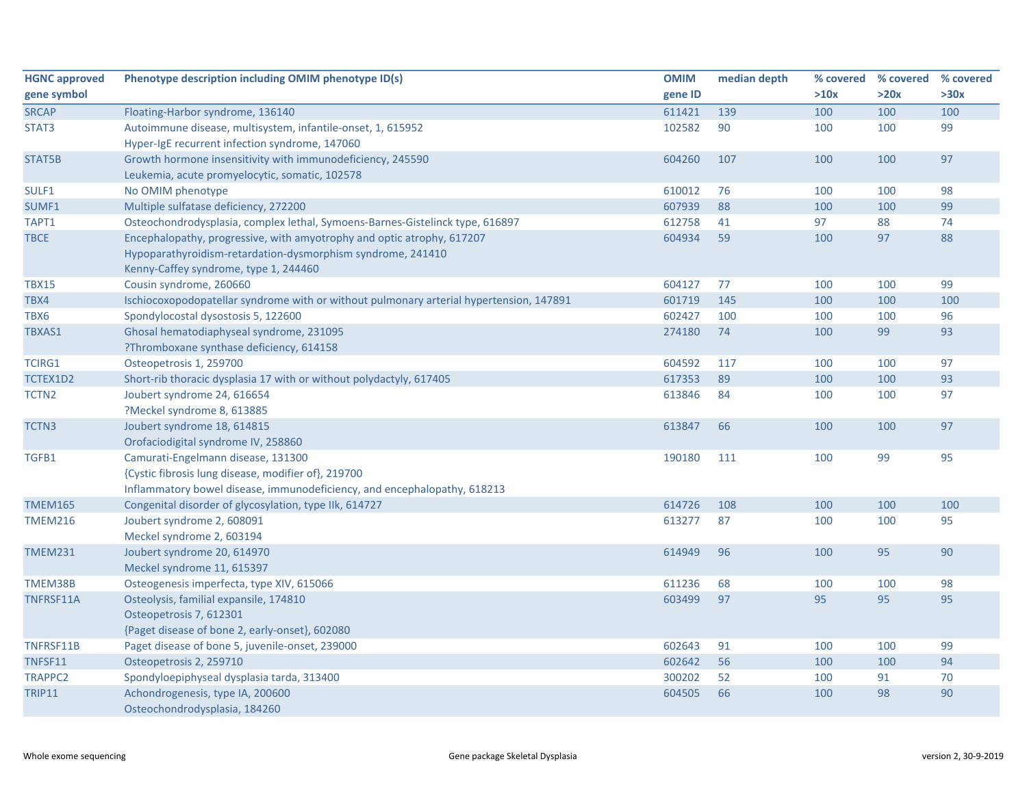| <b>HGNC approved</b> | Phenotype description including OMIM phenotype ID(s)                                    | <b>OMIM</b> | median depth |      | % covered % covered % covered |      |
|----------------------|-----------------------------------------------------------------------------------------|-------------|--------------|------|-------------------------------|------|
| gene symbol          |                                                                                         | gene ID     |              | >10x | >20x                          | >30x |
| <b>SRCAP</b>         | Floating-Harbor syndrome, 136140                                                        | 611421      | 139          | 100  | 100                           | 100  |
| STAT3                | Autoimmune disease, multisystem, infantile-onset, 1, 615952                             | 102582      | 90           | 100  | 100                           | 99   |
|                      | Hyper-IgE recurrent infection syndrome, 147060                                          |             |              |      |                               |      |
| STAT5B               | Growth hormone insensitivity with immunodeficiency, 245590                              | 604260      | 107          | 100  | 100                           | 97   |
|                      | Leukemia, acute promyelocytic, somatic, 102578                                          |             |              |      |                               |      |
| SULF1                | No OMIM phenotype                                                                       | 610012      | 76           | 100  | 100                           | 98   |
| SUMF1                | Multiple sulfatase deficiency, 272200                                                   | 607939      | 88           | 100  | 100                           | 99   |
| TAPT1                | Osteochondrodysplasia, complex lethal, Symoens-Barnes-Gistelinck type, 616897           | 612758      | 41           | 97   | 88                            | 74   |
| <b>TBCE</b>          | Encephalopathy, progressive, with amyotrophy and optic atrophy, 617207                  | 604934      | 59           | 100  | 97                            | 88   |
|                      | Hypoparathyroidism-retardation-dysmorphism syndrome, 241410                             |             |              |      |                               |      |
|                      | Kenny-Caffey syndrome, type 1, 244460                                                   |             |              |      |                               |      |
| <b>TBX15</b>         | Cousin syndrome, 260660                                                                 | 604127      | 77           | 100  | 100                           | 99   |
| TBX4                 | Ischiocoxopodopatellar syndrome with or without pulmonary arterial hypertension, 147891 | 601719      | 145          | 100  | 100                           | 100  |
| TBX6                 | Spondylocostal dysostosis 5, 122600                                                     | 602427      | 100          | 100  | 100                           | 96   |
| TBXAS1               | Ghosal hematodiaphyseal syndrome, 231095                                                | 274180      | 74           | 100  | 99                            | 93   |
|                      | ?Thromboxane synthase deficiency, 614158                                                |             |              |      |                               |      |
| <b>TCIRG1</b>        | Osteopetrosis 1, 259700                                                                 | 604592      | 117          | 100  | 100                           | 97   |
| TCTEX1D2             | Short-rib thoracic dysplasia 17 with or without polydactyly, 617405                     | 617353      | 89           | 100  | 100                           | 93   |
| TCTN2                | Joubert syndrome 24, 616654                                                             | 613846      | 84           | 100  | 100                           | 97   |
|                      | ?Meckel syndrome 8, 613885                                                              |             |              |      |                               |      |
| TCTN3                | Joubert syndrome 18, 614815                                                             | 613847      | 66           | 100  | 100                           | 97   |
|                      | Orofaciodigital syndrome IV, 258860                                                     |             |              |      |                               |      |
| TGFB1                | Camurati-Engelmann disease, 131300                                                      | 190180      | 111          | 100  | 99                            | 95   |
|                      | {Cystic fibrosis lung disease, modifier of}, 219700                                     |             |              |      |                               |      |
|                      | Inflammatory bowel disease, immunodeficiency, and encephalopathy, 618213                |             |              |      |                               |      |
| <b>TMEM165</b>       | Congenital disorder of glycosylation, type IIk, 614727                                  | 614726      | 108          | 100  | 100                           | 100  |
| <b>TMEM216</b>       | Joubert syndrome 2, 608091                                                              | 613277      | 87           | 100  | 100                           | 95   |
|                      | Meckel syndrome 2, 603194                                                               |             |              |      |                               |      |
| <b>TMEM231</b>       | Joubert syndrome 20, 614970                                                             | 614949      | 96           | 100  | 95                            | 90   |
|                      | Meckel syndrome 11, 615397                                                              |             |              |      |                               |      |
| TMEM38B              | Osteogenesis imperfecta, type XIV, 615066                                               | 611236      | 68           | 100  | 100                           | 98   |
| TNFRSF11A            | Osteolysis, familial expansile, 174810                                                  | 603499      | 97           | 95   | 95                            | 95   |
|                      | Osteopetrosis 7, 612301                                                                 |             |              |      |                               |      |
|                      | {Paget disease of bone 2, early-onset}, 602080                                          |             |              |      |                               |      |
| TNFRSF11B            | Paget disease of bone 5, juvenile-onset, 239000                                         | 602643      | 91           | 100  | 100                           | 99   |
| TNFSF11              | Osteopetrosis 2, 259710                                                                 | 602642      | 56           | 100  | 100                           | 94   |
| TRAPPC2              | Spondyloepiphyseal dysplasia tarda, 313400                                              | 300202      | 52           | 100  | 91                            | 70   |
| <b>TRIP11</b>        | Achondrogenesis, type IA, 200600                                                        | 604505      | 66           | 100  | 98                            | 90   |
|                      | Osteochondrodysplasia, 184260                                                           |             |              |      |                               |      |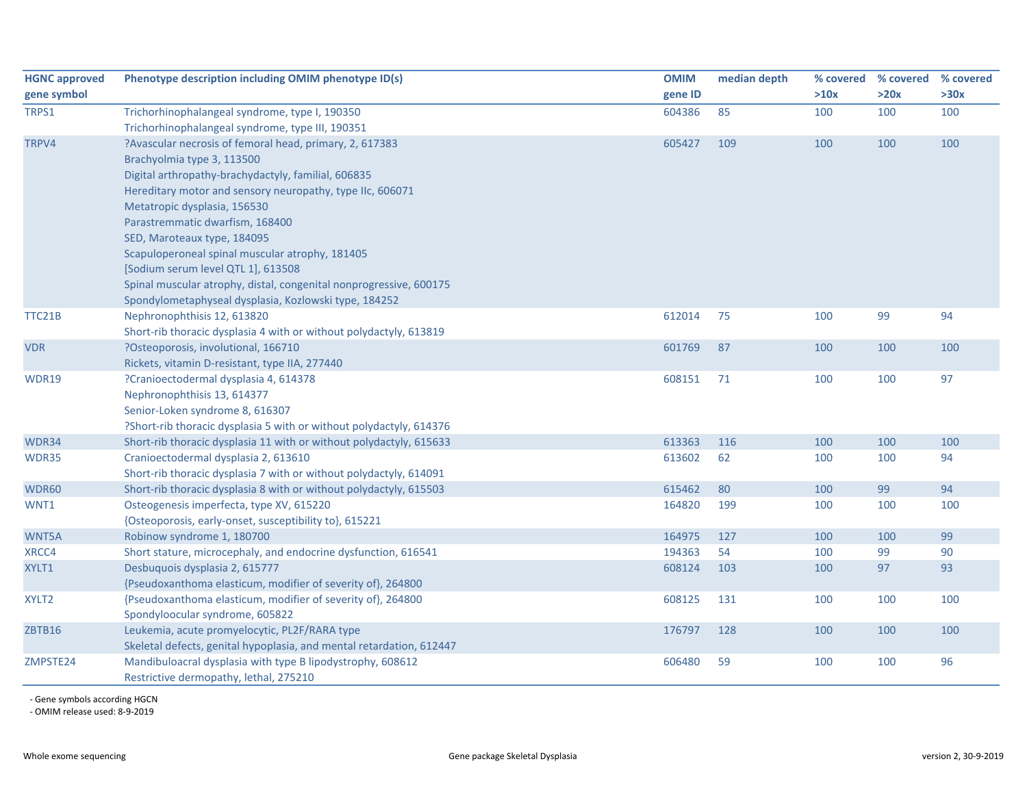| <b>HGNC approved</b> | Phenotype description including OMIM phenotype ID(s)                 | <b>OMIM</b> | median depth | % covered | % covered % covered |      |
|----------------------|----------------------------------------------------------------------|-------------|--------------|-----------|---------------------|------|
| gene symbol          |                                                                      | gene ID     |              | >10x      | >20x                | >30x |
| TRPS1                | Trichorhinophalangeal syndrome, type I, 190350                       | 604386      | 85           | 100       | 100                 | 100  |
|                      | Trichorhinophalangeal syndrome, type III, 190351                     |             |              |           |                     |      |
| TRPV4                | ?Avascular necrosis of femoral head, primary, 2, 617383              | 605427      | 109          | 100       | 100                 | 100  |
|                      | Brachyolmia type 3, 113500                                           |             |              |           |                     |      |
|                      | Digital arthropathy-brachydactyly, familial, 606835                  |             |              |           |                     |      |
|                      | Hereditary motor and sensory neuropathy, type IIc, 606071            |             |              |           |                     |      |
|                      | Metatropic dysplasia, 156530                                         |             |              |           |                     |      |
|                      | Parastremmatic dwarfism, 168400                                      |             |              |           |                     |      |
|                      | SED, Maroteaux type, 184095                                          |             |              |           |                     |      |
|                      | Scapuloperoneal spinal muscular atrophy, 181405                      |             |              |           |                     |      |
|                      | [Sodium serum level QTL 1], 613508                                   |             |              |           |                     |      |
|                      | Spinal muscular atrophy, distal, congenital nonprogressive, 600175   |             |              |           |                     |      |
|                      | Spondylometaphyseal dysplasia, Kozlowski type, 184252                |             |              |           |                     |      |
| TTC21B               | Nephronophthisis 12, 613820                                          | 612014      | 75           | 100       | 99                  | 94   |
|                      | Short-rib thoracic dysplasia 4 with or without polydactyly, 613819   |             |              |           |                     |      |
| <b>VDR</b>           | ?Osteoporosis, involutional, 166710                                  | 601769      | 87           | 100       | 100                 | 100  |
|                      | Rickets, vitamin D-resistant, type IIA, 277440                       |             |              |           |                     |      |
| <b>WDR19</b>         | ?Cranioectodermal dysplasia 4, 614378                                | 608151      | 71           | 100       | 100                 | 97   |
|                      | Nephronophthisis 13, 614377                                          |             |              |           |                     |      |
|                      | Senior-Loken syndrome 8, 616307                                      |             |              |           |                     |      |
|                      | ?Short-rib thoracic dysplasia 5 with or without polydactyly, 614376  |             |              |           |                     |      |
| WDR34                | Short-rib thoracic dysplasia 11 with or without polydactyly, 615633  | 613363      | 116          | 100       | 100                 | 100  |
| WDR35                | Cranioectodermal dysplasia 2, 613610                                 | 613602      | 62           | 100       | 100                 | 94   |
|                      | Short-rib thoracic dysplasia 7 with or without polydactyly, 614091   |             |              |           |                     |      |
| <b>WDR60</b>         | Short-rib thoracic dysplasia 8 with or without polydactyly, 615503   | 615462      | 80           | 100       | 99                  | 94   |
| WNT1                 | Osteogenesis imperfecta, type XV, 615220                             | 164820      | 199          | 100       | 100                 | 100  |
|                      | {Osteoporosis, early-onset, susceptibility to}, 615221               |             |              |           |                     |      |
| WNT5A                | Robinow syndrome 1, 180700                                           | 164975      | 127          | 100       | 100                 | 99   |
| XRCC4                | Short stature, microcephaly, and endocrine dysfunction, 616541       | 194363      | 54           | 100       | 99                  | 90   |
| XYLT1                | Desbuquois dysplasia 2, 615777                                       | 608124      | 103          | 100       | 97                  | 93   |
|                      | {Pseudoxanthoma elasticum, modifier of severity of}, 264800          |             |              |           |                     |      |
| XYLT2                | {Pseudoxanthoma elasticum, modifier of severity of}, 264800          | 608125      | 131          | 100       | 100                 | 100  |
|                      | Spondyloocular syndrome, 605822                                      |             |              |           |                     |      |
| ZBTB16               | Leukemia, acute promyelocytic, PL2F/RARA type                        | 176797      | 128          | 100       | 100                 | 100  |
|                      | Skeletal defects, genital hypoplasia, and mental retardation, 612447 |             |              |           |                     |      |
| ZMPSTE24             | Mandibuloacral dysplasia with type B lipodystrophy, 608612           | 606480      | 59           | 100       | 100                 | 96   |
|                      | Restrictive dermopathy, lethal, 275210                               |             |              |           |                     |      |

‐ Gene symbols according HGCN

‐ OMIM release used: 8‐9‐2019